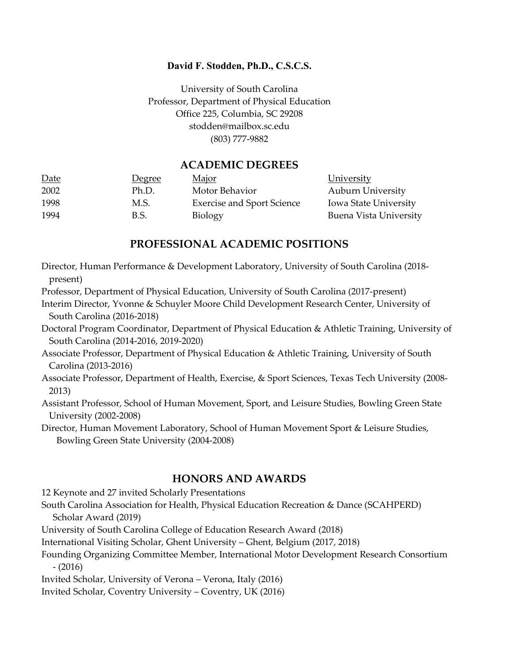### **David F. Stodden, Ph.D., C.S.C.S.**

University of South Carolina Professor, Department of Physical Education Office 225, Columbia, SC 29208 stodden@mailbox.sc.edu (803) 777-9882

## **ACADEMIC DEGREES**

| Date | <u>Degree</u> | <u>Major</u>                      | <b>University</b>            |
|------|---------------|-----------------------------------|------------------------------|
| 2002 | Ph.D.         | Motor Behavior                    | <b>Auburn University</b>     |
| 1998 | M.S.          | <b>Exercise and Sport Science</b> | <b>Iowa State University</b> |
| 1994 | B.S.          | <b>Biology</b>                    | Buena Vista University       |

# **PROFESSIONAL ACADEMIC POSITIONS**

Director, Human Performance & Development Laboratory, University of South Carolina (2018 present)

Professor, Department of Physical Education, University of South Carolina (2017-present)

Interim Director, Yvonne & Schuyler Moore Child Development Research Center, University of South Carolina (2016-2018)

Doctoral Program Coordinator, Department of Physical Education & Athletic Training, University of South Carolina (2014-2016, 2019-2020)

Associate Professor, Department of Physical Education & Athletic Training, University of South Carolina (2013-2016)

Associate Professor, Department of Health, Exercise, & Sport Sciences, Texas Tech University (2008- 2013)

Assistant Professor, School of Human Movement, Sport, and Leisure Studies, Bowling Green State University (2002-2008)

Director, Human Movement Laboratory, School of Human Movement Sport & Leisure Studies, Bowling Green State University (2004-2008)

### **HONORS AND AWARDS**

12 Keynote and 27 invited Scholarly Presentations

South Carolina Association for Health, Physical Education Recreation & Dance (SCAHPERD) Scholar Award (2019)

University of South Carolina College of Education Research Award (2018)

International Visiting Scholar, Ghent University – Ghent, Belgium (2017, 2018)

Founding Organizing Committee Member, International Motor Development Research Consortium - (2016)

Invited Scholar, University of Verona – Verona, Italy (2016)

Invited Scholar, Coventry University – Coventry, UK (2016)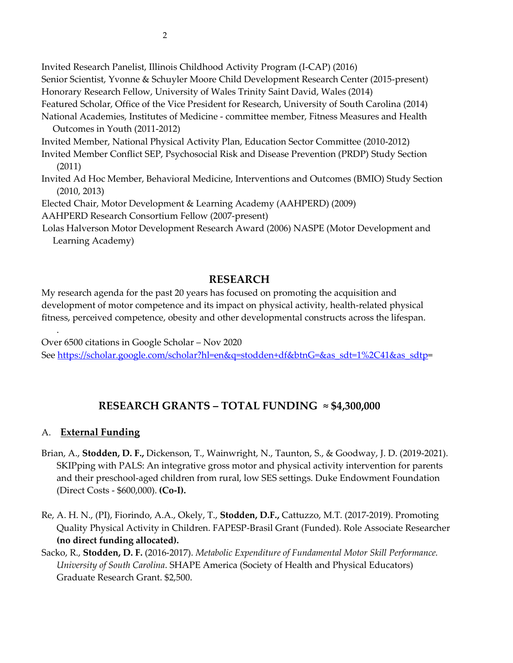Invited Research Panelist, Illinois Childhood Activity Program (I-CAP) (2016) Senior Scientist, Yvonne & Schuyler Moore Child Development Research Center (2015-present) Honorary Research Fellow, University of Wales Trinity Saint David, Wales (2014) Featured Scholar, Office of the Vice President for Research, University of South Carolina (2014) National Academies, Institutes of Medicine - committee member, Fitness Measures and Health Outcomes in Youth (2011-2012) Invited Member, National Physical Activity Plan, Education Sector Committee (2010-2012) Invited Member Conflict SEP, Psychosocial Risk and Disease Prevention (PRDP) Study Section (2011) Invited Ad Hoc Member, Behavioral Medicine, Interventions and Outcomes (BMIO) Study Section (2010, 2013) Elected Chair, Motor Development & Learning Academy (AAHPERD) (2009) AAHPERD Research Consortium Fellow (2007-present)

 Lolas Halverson Motor Development Research Award (2006) NASPE (Motor Development and Learning Academy)

# **RESEARCH**

My research agenda for the past 20 years has focused on promoting the acquisition and development of motor competence and its impact on physical activity, health-related physical fitness, perceived competence, obesity and other developmental constructs across the lifespan.

Over 6500 citations in Google Scholar – Nov 2020 See [https://scholar.google.com/scholar?hl=en&q=stodden+df&btnG=&as\\_sdt=1%2C41&as\\_sdtp=](https://scholar.google.com/scholar?hl=en&q=stodden+df&btnG=&as_sdt=1%2C41&as_sdtp)

# **RESEARCH GRANTS – TOTAL FUNDING ≈ \$4,300,000**

# A. **External Funding**

.

- Brian, A., **Stodden, D. F.,** Dickenson, T., Wainwright, N., Taunton, S., & Goodway, J. D. (2019-2021). SKIPping with PALS: An integrative gross motor and physical activity intervention for parents and their preschool-aged children from rural, low SES settings. Duke Endowment Foundation (Direct Costs - \$600,000). **(Co-I).**
- Re, A. H. N., (PI), Fiorindo, A.A., Okely, T., **Stodden, D.F.,** Cattuzzo, M.T. (2017-2019). Promoting Quality Physical Activity in Children. FAPESP-Brasil Grant (Funded). Role Associate Researcher **(no direct funding allocated).**
- Sacko, R., **Stodden, D. F.** (2016-2017). *Metabolic Expenditure of Fundamental Motor Skill Performance. University of South Carolina*. SHAPE America (Society of Health and Physical Educators) Graduate Research Grant. \$2,500.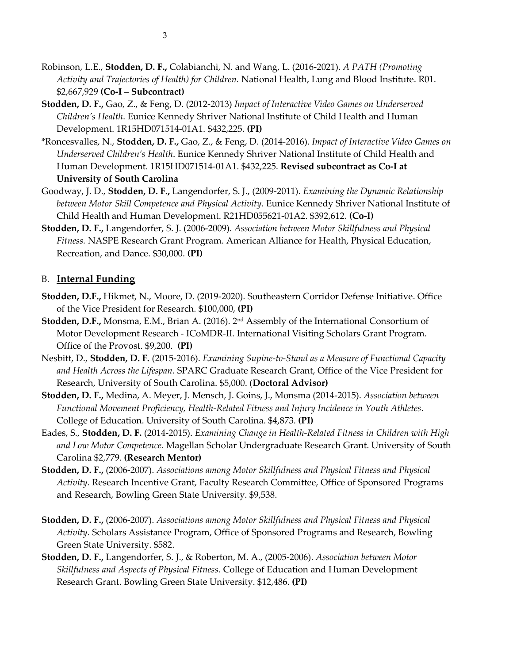- Robinson, L.E., **Stodden, D. F.,** Colabianchi, N. and Wang, L. (2016-2021). *A PATH (Promoting Activity and Trajectories of Health) for Children.* National Health, Lung and Blood Institute. R01. \$2,667,929 **(Co-I – Subcontract)**
- **Stodden, D. F.,** Gao, Z., & Feng, D. (2012-2013) *Impact of Interactive Video Games on Underserved Children's Health*. Eunice Kennedy Shriver National Institute of Child Health and Human Development. 1R15HD071514-01A1. \$432,225. **(PI)**
- \*Roncesvalles, N., **Stodden, D. F.,** Gao, Z., & Feng, D. (2014-2016). *Impact of Interactive Video Games on Underserved Children's Health*. Eunice Kennedy Shriver National Institute of Child Health and Human Development. 1R15HD071514-01A1. \$432,225. **Revised subcontract as Co-I at University of South Carolina**
- Goodway, J. D., **Stodden, D. F.,** Langendorfer, S. J., (2009-2011). *Examining the Dynamic Relationship between Motor Skill Competence and Physical Activity.* Eunice Kennedy Shriver National Institute of Child Health and Human Development. R21HD055621-01A2. \$392,612. **(Co-I)**
- **Stodden, D. F.,** Langendorfer, S. J. (2006-2009). *Association between Motor Skillfulness and Physical Fitness.* NASPE Research Grant Program. American Alliance for Health, Physical Education, Recreation, and Dance. \$30,000. **(PI)**

### B. **Internal Funding**

- **Stodden, D.F.,** Hikmet, N., Moore, D. (2019-2020). Southeastern Corridor Defense Initiative. Office of the Vice President for Research. \$100,000, **(PI)**
- **Stodden, D.F.,** Monsma, E.M., Brian A. (2016). 2<sup>nd</sup> Assembly of the International Consortium of Motor Development Research - ICoMDR-II. International Visiting Scholars Grant Program. Office of the Provost. \$9,200. **(PI)**
- Nesbitt, D., **Stodden, D. F.** (2015-2016). *Examining Supine-to-Stand as a Measure of Functional Capacity and Health Across the Lifespan.* SPARC Graduate Research Grant, Office of the Vice President for Research, University of South Carolina. \$5,000. (**Doctoral Advisor)**
- **Stodden, D. F.,** Medina, A. Meyer, J. Mensch, J. Goins, J., Monsma (2014-2015). *Association between Functional Movement Proficiency, Health-Related Fitness and Injury Incidence in Youth Athletes*. College of Education. University of South Carolina. \$4,873. **(PI)**
- Eades, S., **Stodden, D. F.** (2014-2015). *Examining Change in Health-Related Fitness in Children with High and Low Motor Competence.* Magellan Scholar Undergraduate Research Grant. University of South Carolina \$2,779. **(Research Mentor)**
- **Stodden, D. F.,** (2006-2007). *Associations among Motor Skillfulness and Physical Fitness and Physical Activity.* Research Incentive Grant, Faculty Research Committee, Office of Sponsored Programs and Research, Bowling Green State University. \$9,538.
- **Stodden, D. F.,** (2006-2007). *Associations among Motor Skillfulness and Physical Fitness and Physical Activity.* Scholars Assistance Program, Office of Sponsored Programs and Research, Bowling Green State University. \$582.
- **Stodden, D. F.,** Langendorfer, S. J., & Roberton, M. A., (2005-2006). *Association between Motor Skillfulness and Aspects of Physical Fitness*. College of Education and Human Development Research Grant. Bowling Green State University. \$12,486. **(PI)**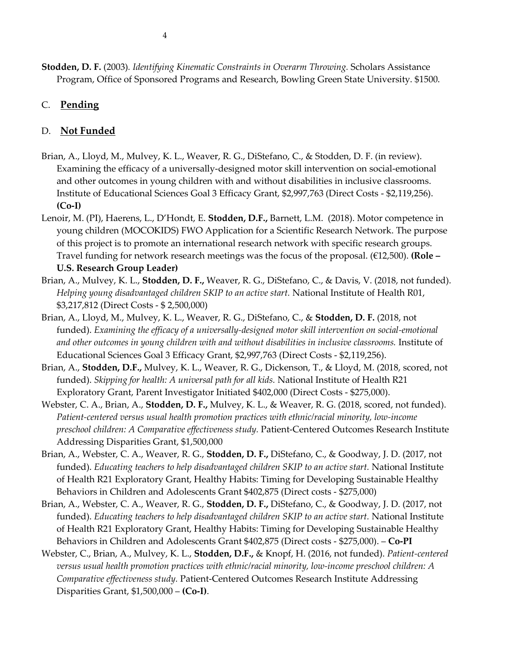# C. **Pending**

## D. **Not Funded**

- Brian, A., Lloyd, M., Mulvey, K. L., Weaver, R. G., DiStefano, C., & Stodden, D. F. (in review). Examining the efficacy of a universally-designed motor skill intervention on social-emotional and other outcomes in young children with and without disabilities in inclusive classrooms. Institute of Educational Sciences Goal 3 Efficacy Grant, \$2,997,763 (Direct Costs - \$2,119,256). **(Co-I)**
- Lenoir, M. (PI), Haerens, L., D'Hondt, E. **Stodden, D.F.,** Barnett, L.M. (2018). Motor competence in young children (MOCOKIDS) FWO Application for a Scientific Research Network. The purpose of this project is to promote an international research network with specific research groups. Travel funding for network research meetings was the focus of the proposal. (€12,500). **(Role – U.S. Research Group Leader)**
- Brian, A., Mulvey, K. L., **Stodden, D. F.,** Weaver, R. G., DiStefano, C., & Davis, V. (2018, not funded). *Helping young disadvantaged children SKIP to an active start.* National Institute of Health R01, \$3,217,812 (Direct Costs - \$ 2,500,000)
- Brian, A., Lloyd, M., Mulvey, K. L., Weaver, R. G., DiStefano, C., & **Stodden, D. F.** (2018, not funded). *Examining the efficacy of a universally-designed motor skill intervention on social-emotional and other outcomes in young children with and without disabilities in inclusive classrooms.* Institute of Educational Sciences Goal 3 Efficacy Grant, \$2,997,763 (Direct Costs - \$2,119,256).
- Brian, A., **Stodden, D.F.,** Mulvey, K. L., Weaver, R. G., Dickenson, T., & Lloyd, M. (2018, scored, not funded). *Skipping for health: A universal path for all kids.* National Institute of Health R21 Exploratory Grant, Parent Investigator Initiated \$402,000 (Direct Costs - \$275,000).
- Webster, C. A., Brian, A., **Stodden, D. F.,** Mulvey, K. L., & Weaver, R. G. (2018, scored, not funded). *Patient-centered versus usual health promotion practices with ethnic/racial minority, low-income preschool children: A Comparative effectiveness study.* Patient-Centered Outcomes Research Institute Addressing Disparities Grant, \$1,500,000
- Brian, A., Webster, C. A., Weaver, R. G., **Stodden, D. F.,** DiStefano, C., & Goodway, J. D. (2017, not funded). *Educating teachers to help disadvantaged children SKIP to an active start.* National Institute of Health R21 Exploratory Grant, Healthy Habits: Timing for Developing Sustainable Healthy Behaviors in Children and Adolescents Grant \$402,875 (Direct costs - \$275,000)
- Brian, A., Webster, C. A., Weaver, R. G., **Stodden, D. F.,** DiStefano, C., & Goodway, J. D. (2017, not funded). *Educating teachers to help disadvantaged children SKIP to an active start.* National Institute of Health R21 Exploratory Grant, Healthy Habits: Timing for Developing Sustainable Healthy Behaviors in Children and Adolescents Grant \$402,875 (Direct costs - \$275,000). – **Co-PI**
- Webster, C., Brian, A., Mulvey, K. L., **Stodden, D.F.,** & Knopf, H. (2016, not funded). *Patient-centered versus usual health promotion practices with ethnic/racial minority, low-income preschool children: A Comparative effectiveness study.* Patient-Centered Outcomes Research Institute Addressing Disparities Grant, \$1,500,000 – **(Co-I)**.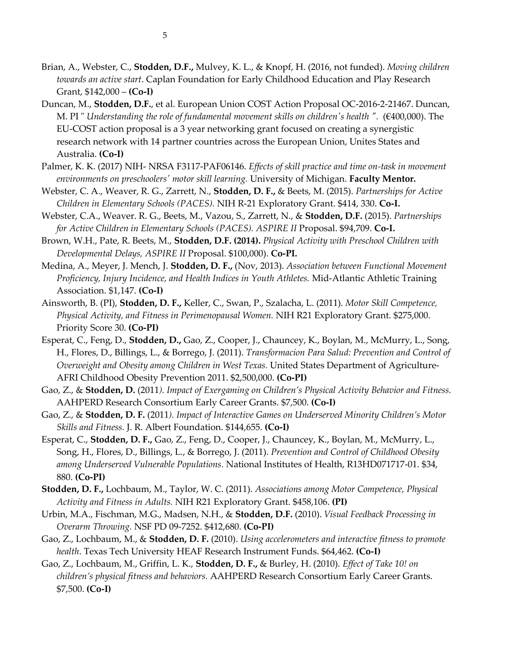- Brian, A., Webster, C., **Stodden, D.F.,** Mulvey, K. L., & Knopf, H. (2016, not funded). *Moving children towards an active start*. Caplan Foundation for Early Childhood Education and Play Research Grant, \$142,000 – **(Co-I)**
- Duncan, M., **Stodden, D.F.**, et al. European Union COST Action Proposal OC-2016-2-21467. Duncan, M. PI " *Understanding the role of fundamental movement skills on children's health ".* (€400,000). The EU-COST action proposal is a 3 year networking grant focused on creating a synergistic research network with 14 partner countries across the European Union, Unites States and Australia. **(Co-I)**
- Palmer, K. K. (2017) NIH- NRSA F3117-PAF06146. *Effects of skill practice and time on-task in movement environments on preschoolers' motor skill learning.* University of Michigan. **Faculty Mentor.**
- Webster, C. A., Weaver, R. G., Zarrett, N., **Stodden, D. F.,** & Beets, M. (2015). *Partnerships for Active Children in Elementary Schools (PACES).* NIH R-21 Exploratory Grant. \$414, 330. **Co-I.**
- Webster, C.A., Weaver. R. G., Beets, M., Vazou, S., Zarrett, N., & **Stodden, D.F.** (2015). *Partnerships for Active Children in Elementary Schools (PACES). ASPIRE II* Proposal. \$94,709. **Co-I.**
- Brown, W.H., Pate, R. Beets, M., **Stodden, D.F. (2014).** *Physical Activity with Preschool Children with Developmental Delays, ASPIRE II* Proposal. \$100,000). **Co-PI.**
- Medina, A., Meyer, J. Mench, J. **Stodden, D. F.,** (Nov, 2013). *Association between Functional Movement Proficiency, Injury Incidence, and Health Indices in Youth Athletes.* Mid-Atlantic Athletic Training Association. \$1,147. **(Co-I)**
- Ainsworth, B. (PI), **Stodden, D. F.,** Keller, C., Swan, P., Szalacha, L. (2011). *Motor Skill Competence, Physical Activity, and Fitness in Perimenopausal Women.* NIH R21 Exploratory Grant. \$275,000. Priority Score 30. **(Co-PI)**
- Esperat, C., Feng, D., **Stodden, D.,** Gao, Z., Cooper, J., Chauncey, K., Boylan, M., McMurry, L., Song, H., Flores, D., Billings, L., & Borrego, J. (2011). *Transformacion Para Salud: Prevention and Control of Overweight and Obesity among Children in West Texas.* United States Department of Agriculture-AFRI Childhood Obesity Prevention 2011. \$2,500,000. **(Co-PI)**
- Gao, Z., & **Stodden, D.** (2011*). Impact of Exergaming on Children's Physical Activity Behavior and Fitness.*  AAHPERD Research Consortium Early Career Grants. \$7,500. **(Co-I)**
- Gao, Z., & **Stodden, D. F.** (2011*). Impact of Interactive Games on Underserved Minority Children's Motor Skills and Fitness.* J. R. Albert Foundation. \$144,655. **(Co-I)**
- Esperat, C., **Stodden, D. F.,** Gao, Z., Feng, D., Cooper, J., Chauncey, K., Boylan, M., McMurry, L., Song, H., Flores, D., Billings, L., & Borrego, J. (2011). *Prevention and Control of Childhood Obesity among Underserved Vulnerable Populations.* National Institutes of Health, R13HD071717-01. \$34, 880. **(Co-PI)**
- **Stodden, D. F.,** Lochbaum, M., Taylor, W. C. (2011). *Associations among Motor Competence, Physical Activity and Fitness in Adults.* NIH R21 Exploratory Grant. \$458,106. **(PI)**
- Urbin, M.A., Fischman, M.G., Madsen, N.H., & **Stodden, D.F.** (2010). *Visual Feedback Processing in Overarm Throwing.* NSF PD 09-7252. \$412,680. **(Co-PI)**
- Gao, Z., Lochbaum, M., & **Stodden, D. F.** (2010). *Using accelerometers and interactive fitness to promote health*. Texas Tech University HEAF Research Instrument Funds. \$64,462. **(Co-I)**
- Gao, Z., Lochbaum, M., Griffin, L. K., **Stodden, D. F.,** & Burley, H. (2010). *Effect of Take 10! on children's physical fitness and behaviors.* AAHPERD Research Consortium Early Career Grants. \$7,500. **(Co-I)**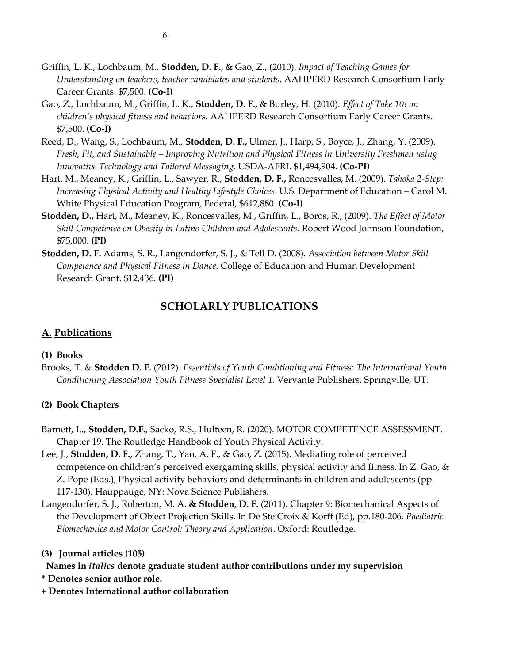- Griffin, L. K., Lochbaum, M., **Stodden, D. F.,** & Gao, Z., (2010). *Impact of Teaching Games for Understanding on teachers, teacher candidates and students.* AAHPERD Research Consortium Early Career Grants. \$7,500. **(Co-I)**
- Gao, Z., Lochbaum, M., Griffin, L. K., **Stodden, D. F.,** & Burley, H. (2010). *Effect of Take 10! on children's physical fitness and behaviors.* AAHPERD Research Consortium Early Career Grants. \$7,500. **(Co-I)**
- Reed, D., Wang, S., Lochbaum, M., **Stodden, D. F.,** Ulmer, J., Harp, S., Boyce, J., Zhang, Y. (2009). *Fresh, Fit, and Sustainable – Improving Nutrition and Physical Fitness in University Freshmen using Innovative Technology and Tailored Messaging.* USDA-AFRI. \$1,494,904. **(Co-PI)**
- Hart, M., Meaney, K., Griffin, L., Sawyer, R., **Stodden, D. F.,** Roncesvalles, M. (2009). *Tahoka 2-Step: Increasing Physical Activity and Healthy Lifestyle Choices.* U.S. Department of Education – Carol M. White Physical Education Program, Federal, \$612,880. **(Co-I)**
- **Stodden, D.,** Hart, M., Meaney, K., Roncesvalles, M., Griffin, L., Boros, R., (2009). *The Effect of Motor Skill Competence on Obesity in Latino Children and Adolescents.* Robert Wood Johnson Foundation, \$75,000. **(PI)**
- **Stodden, D. F.** Adams, S. R., Langendorfer, S. J., & Tell D. (2008). *Association between Motor Skill Competence and Physical Fitness in Dance.* College of Education and Human Development Research Grant. \$12,436. **(PI)**

# **SCHOLARLY PUBLICATIONS**

# **A. Publications**

# **(1) Books**

Brooks, T. & **Stodden D. F.** (2012). *Essentials of Youth Conditioning and Fitness: The International Youth Conditioning Association Youth Fitness Specialist Level 1.* Vervante Publishers, Springville, UT.

# **(2) Book Chapters**

- Barnett, L., **Stodden, D.F.**, Sacko, R.S., Hulteen, R. (2020). MOTOR COMPETENCE ASSESSMENT. Chapter 19. The Routledge Handbook of Youth Physical Activity.
- Lee, J., **Stodden, D. F.,** Zhang, T., Yan, A. F., & Gao, Z. (2015). Mediating role of perceived competence on children's perceived exergaming skills, physical activity and fitness. In Z. Gao, & Z. Pope (Eds.), Physical activity behaviors and determinants in children and adolescents (pp. 117-130). Hauppauge, NY: Nova Science Publishers.
- Langendorfer, S. J., Roberton, M. A. **& Stodden, D. F.** (2011). Chapter 9: Biomechanical Aspects of the Development of Object Projection Skills. In De Ste Croix & Korff (Ed), pp.180-206. *Paediatric Biomechanics and Motor Control: Theory and Application*. Oxford: Routledge.

# **(3) Journal articles (105)**

- **Names in** *italics* **denote graduate student author contributions under my supervision**
- **\* Denotes senior author role.**
- **+ Denotes International author collaboration**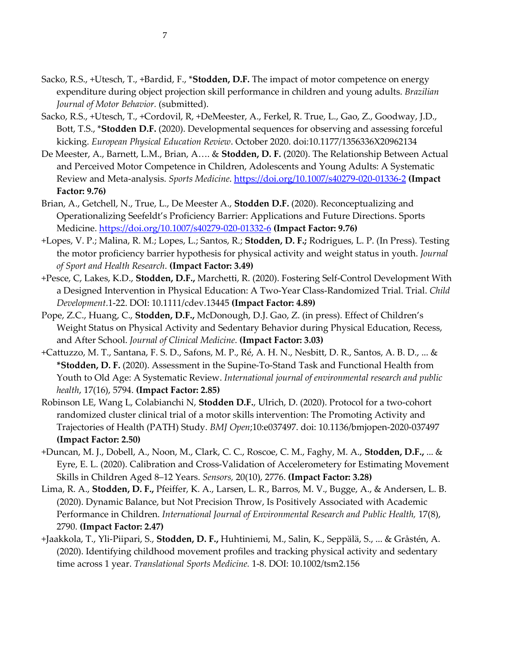- Sacko, R.S., +Utesch, T., +Bardid, F., \***Stodden, D.F.** The impact of motor competence on energy expenditure during object projection skill performance in children and young adults. *Brazilian Journal of Motor Behavior.* (submitted).
- Sacko, R.S., +Utesch, T., +Cordovil, R, +DeMeester, A., Ferkel, R. True, L., Gao, Z., Goodway, J.D., Bott, T.S., \***Stodden D.F.** (2020). Developmental sequences for observing and assessing forceful kicking. *European Physical Education Review*. October 2020. doi:10.1177/1356336X20962134
- De Meester, A., Barnett, L.M., Brian, A…. & **Stodden, D. F.** (2020). The Relationship Between Actual and Perceived Motor Competence in Children, Adolescents and Young Adults: A Systematic Review and Meta-analysis. *Sports Medicine*.<https://doi.org/10.1007/s40279-020-01336-2> **(Impact Factor: 9.76)**
- Brian, A., Getchell, N., True, L., De Meester A., **Stodden D.F.** (2020). Reconceptualizing and Operationalizing Seefeldt's Proficiency Barrier: Applications and Future Directions. Sports Medicine.<https://doi.org/10.1007/s40279-020-01332-6> **(Impact Factor: 9.76)**
- +Lopes, V. P.; Malina, R. M.; Lopes, L.; Santos, R.; **Stodden, D. F.;** Rodrigues, L. P. (In Press). Testing the motor proficiency barrier hypothesis for physical activity and weight status in youth. *Journal of Sport and Health Research*. **(Impact Factor: 3.49)**
- +Pesce, C, Lakes, K.D., **Stodden, D.F.,** Marchetti, R. (2020). Fostering Self-Control Development With a Designed Intervention in Physical Education: A Two-Year Class-Randomized Trial. Trial. *Child Development*.1-22. DOI: 10.1111/cdev.13445 **(Impact Factor: 4.89)**
- Pope, Z.C., Huang, C., **Stodden, D.F.,** McDonough, D.J. Gao, Z. (in press). Effect of Children's Weight Status on Physical Activity and Sedentary Behavior during Physical Education, Recess, and After School. *Journal of Clinical Medicine*. **(Impact Factor: 3.03)**
- +Cattuzzo, M. T., Santana, F. S. D., Safons, M. P., Ré, A. H. N., Nesbitt, D. R., Santos, A. B. D., ... & **\*Stodden, D. F.** (2020). Assessment in the Supine-To-Stand Task and Functional Health from Youth to Old Age: A Systematic Review. *International journal of environmental research and public health*, 17(16), 5794. **(Impact Factor: 2.85)**
- Robinson LE, Wang L, Colabianchi N, **Stodden D.F.**, Ulrich, D. (2020). Protocol for a two-cohort randomized cluster clinical trial of a motor skills intervention: The Promoting Activity and Trajectories of Health (PATH) Study. *BMJ Open*;10:e037497. doi: 10.1136/bmjopen-2020-037497 **(Impact Factor: 2.50)**
- +Duncan, M. J., Dobell, A., Noon, M., Clark, C. C., Roscoe, C. M., Faghy, M. A., **Stodden, D.F.,** ... & Eyre, E. L. (2020). Calibration and Cross-Validation of Accelerometery for Estimating Movement Skills in Children Aged 8–12 Years. *Sensors,* 20(10), 2776. **(Impact Factor: 3.28)**
- Lima, R. A., **Stodden, D. F.,** Pfeiffer, K. A., Larsen, L. R., Barros, M. V., Bugge, A., & Andersen, L. B. (2020). Dynamic Balance, but Not Precision Throw, Is Positively Associated with Academic Performance in Children. *International Journal of Environmental Research and Public Health,* 17(8), 2790. **(Impact Factor: 2.47)**
- +Jaakkola, T., Yli‐Piipari, S., **Stodden, D. F.,** Huhtiniemi, M., Salin, K., Seppälä, S., ... & Gråstén, A. (2020). Identifying childhood movement profiles and tracking physical activity and sedentary time across 1 year. *Translational Sports Medicine.* 1-8. DOI: 10.1002/tsm2.156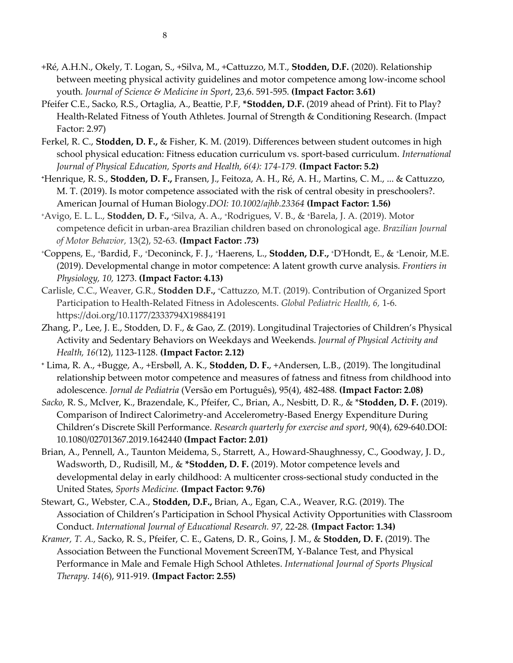- +Ré, A.H.N., Okely, T. Logan, S., +Silva, M., +Cattuzzo, M.T., **Stodden, D.F.** (2020). Relationship between meeting physical activity guidelines and motor competence among low-income school youth*. Journal of Science & Medicine in Sport*, 23,6. 591-595. **(Impact Factor: 3.61)**
- Pfeifer C.E., Sacko, R.S., Ortaglia, A., Beattie, P.F, **\*Stodden, D.F.** (2019 ahead of Print). Fit to Play? Health-Related Fitness of Youth Athletes. Journal of Strength & Conditioning Research. (Impact Factor: 2.97)
- Ferkel, R. C., **Stodden, D. F.,** & Fisher, K. M. (2019). Differences between student outcomes in high school physical education: Fitness education curriculum vs. sport-based curriculum. *International Journal of Physical Education, Sports and Health, 6(4): 174-179.* **(Impact Factor: 5.2)**
- **<sup>+</sup>**Henrique, R. S., **Stodden, D. F.,** Fransen, J., Feitoza, A. H., Ré, A. H., Martins, C. M., ... & Cattuzzo, M. T. (2019). Is motor competence associated with the risk of central obesity in preschoolers?. American Journal of Human Biology.*DOI: 10.1002/ajhb.23364* **(Impact Factor: 1.56)**
- <sup>+</sup>Avigo, E. L. L., **Stodden, D. F.,** <sup>+</sup>Silva, A. A., <sup>+</sup>Rodrigues, V. B., & +Barela, J. A. (2019). Motor competence deficit in urban-area Brazilian children based on chronological age. *Brazilian Journal of Motor Behavior,* 13(2), 52-63. **(Impact Factor: .73)**
- <sup>+</sup>Coppens, E., <sup>+</sup>Bardid, F., +Deconinck, F. J., +Haerens, L., **Stodden, D.F.,** <sup>+</sup>D'Hondt, E., & +Lenoir, M.E. (2019). Developmental change in motor competence: A latent growth curve analysis. *Frontiers in Physiology, 10,* 1273. **(Impact Factor: 4.13)**
- Carlisle, C.C., Weaver, G.R., **Stodden D.F.,** <sup>+</sup>Cattuzzo, M.T. (2019). Contribution of Organized Sport Participation to Health-Related Fitness in Adolescents. *Global Pediatric Health, 6,* 1-6. https://doi.org/10.1177/2333794X19884191
- Zhang, P., Lee, J. E., Stodden, D. F., & Gao, Z. (2019). Longitudinal Trajectories of Children's Physical Activity and Sedentary Behaviors on Weekdays and Weekends. *Journal of Physical Activity and Health, 16(*12), 1123-1128. **(Impact Factor: 2.12)**
- **<sup>+</sup>** Lima, R. A., +Bugge, A., +Ersbøll, A. K., **Stodden, D. F.**, +Andersen, L.B., (2019). The longitudinal relationship between motor competence and measures of fatness and fitness from childhood into adolescence*. Jornal de Pediatria* (Versão em Português), 95(4), 482-488. **(Impact Factor: 2.08)**
- *Sacko,* R. S., McIver, K., Brazendale, K., Pfeifer, C., Brian, A., Nesbitt, D. R., & \***Stodden, D. F.** (2019). Comparison of Indirect Calorimetry-and Accelerometry-Based Energy Expenditure During Children's Discrete Skill Performance. *Research quarterly for exercise and sport*, 90(4), 629-640.DOI: 10.1080/02701367.2019.1642440 **(Impact Factor: 2.01)**
- Brian, A., Pennell, A., Taunton Meidema, S., Starrett, A., Howard-Shaughnessy, C., Goodway, J. D., Wadsworth, D., Rudisill, M., & **\*Stodden, D. F.** (2019). Motor competence levels and developmental delay in early childhood: A multicenter cross-sectional study conducted in the United States, *Sports Medicine.* **(Impact Factor: 9.76)**
- Stewart, G., Webster, C.A., **Stodden, D.F.,** Brian, A., Egan, C.A., Weaver, R.G. (2019). The Association of Children's Participation in School Physical Activity Opportunities with Classroom Conduct. *International Journal of Educational Research. 97,* 22-28*.* **(Impact Factor: 1.34)**
- *Kramer, T. A.,* Sacko, R. S., Pfeifer, C. E., Gatens, D. R., Goins, J. M., & **Stodden, D. F.** (2019). The Association Between the Functional Movement ScreenTM, Y-Balance Test, and Physical Performance in Male and Female High School Athletes. *International Journal of Sports Physical Therapy. 14*(6), 911-919. **(Impact Factor: 2.55)**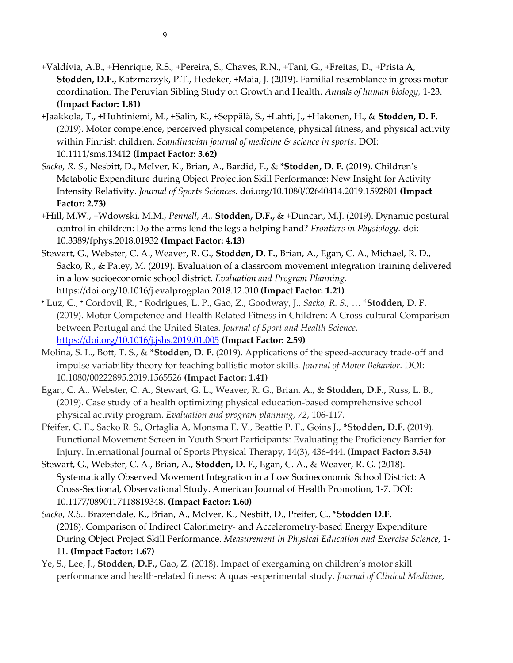- +Valdívia, A.B., +Henrique, R.S., +Pereira, S., Chaves, R.N., +Tani, G., +Freitas, D., +Prista A, **Stodden, D.F.,** Katzmarzyk, P.T., Hedeker, +Maia, J. (2019). Familial resemblance in gross motor coordination. The Peruvian Sibling Study on Growth and Health. *Annals of human biology,* 1-23. **(Impact Factor: 1.81)**
- +Jaakkola, T., +Huhtiniemi, M., +Salin, K., +Seppälä, S., +Lahti, J., +Hakonen, H., & **Stodden, D. F.** (2019). Motor competence, perceived physical competence, physical fitness, and physical activity within Finnish children. *Scandinavian journal of medicine & science in sports.* DOI: 10.1111/sms.13412 **(Impact Factor: 3.62)**
- *Sacko, R. S.,* Nesbitt, D., McIver, K., Brian, A., Bardid, F., & \***Stodden, D. F.** (2019). Children's Metabolic Expenditure during Object Projection Skill Performance: New Insight for Activity Intensity Relativity. *Journal of Sports Sciences.* doi.org/10.1080/02640414.2019.1592801 **(Impact Factor: 2.73)**
- +Hill, M.W., +Wdowski, M.M., *Pennell, A.,* **Stodden, D.F.,** & +Duncan, M.J. (2019). Dynamic postural control in children: Do the arms lend the legs a helping hand? *Frontiers in Physiology.* doi: 10.3389/fphys.2018.01932 **(Impact Factor: 4.13)**
- Stewart, G., Webster, C. A., Weaver, R. G., **Stodden, D. F.,** Brian, A., Egan, C. A., Michael, R. D., Sacko, R., & Patey, M. (2019). Evaluation of a classroom movement integration training delivered in a low socioeconomic school district. *Evaluation and Program Planning.* https://doi.org/10.1016/j.evalprogplan.2018.12.010 **(Impact Factor: 1.21)**
- **<sup>+</sup>** Luz, C., **<sup>+</sup>** Cordovil, R., **<sup>+</sup>** Rodrigues, L. P., Gao, Z., Goodway, J., *Sacko, R. S.,* … \***Stodden, D. F.** (2019). Motor Competence and Health Related Fitness in Children: A Cross-cultural Comparison between Portugal and the United States. *Journal of Sport and Health Science.* <https://doi.org/10.1016/j.jshs.2019.01.005> **(Impact Factor: 2.59)**
- Molina, S. L., Bott, T. S., & **\*Stodden, D. F.** (2019). Applications of the speed-accuracy trade-off and impulse variability theory for teaching ballistic motor skills. *Journal of Motor Behavior.* DOI: 10.1080/00222895.2019.1565526 **(Impact Factor: 1.41)**
- Egan, C. A., Webster, C. A., Stewart, G. L., Weaver, R. G., Brian, A., & **Stodden, D.F.,** Russ, L. B., (2019). Case study of a health optimizing physical education-based comprehensive school physical activity program. *Evaluation and program planning, 72*, 106-117.
- Pfeifer, C. E., Sacko R. S., Ortaglia A, Monsma E. V., Beattie P. F., Goins J., **\*Stodden, D.F.** (2019). Functional Movement Screen in Youth Sport Participants: Evaluating the Proficiency Barrier for Injury. International Journal of Sports Physical Therapy, 14(3), 436-444. **(Impact Factor: 3.54)**
- Stewart, G., Webster, C. A., Brian, A., **Stodden, D. F.,** Egan, C. A., & Weaver, R. G. (2018). Systematically Observed Movement Integration in a Low Socioeconomic School District: A Cross-Sectional, Observational Study. American Journal of Health Promotion, 1-7. DOI: 10.1177/0890117118819348. **(Impact Factor: 1.60)**
- *Sacko, R.S.,* Brazendale, K., Brian, A., McIver, K., Nesbitt, D., Pfeifer, C., \***Stodden D.F.** (2018). Comparison of Indirect Calorimetry- and Accelerometry-based Energy Expenditure During Object Project Skill Performance. *Measurement in Physical Education and Exercise Science*, 1- 11. **(Impact Factor: 1.67)**
- Ye, S., Lee, J., **Stodden, D.F.,** Gao, Z. (2018). Impact of exergaming on children's motor skill performance and health-related fitness: A quasi-experimental study. *Journal of Clinical Medicine,*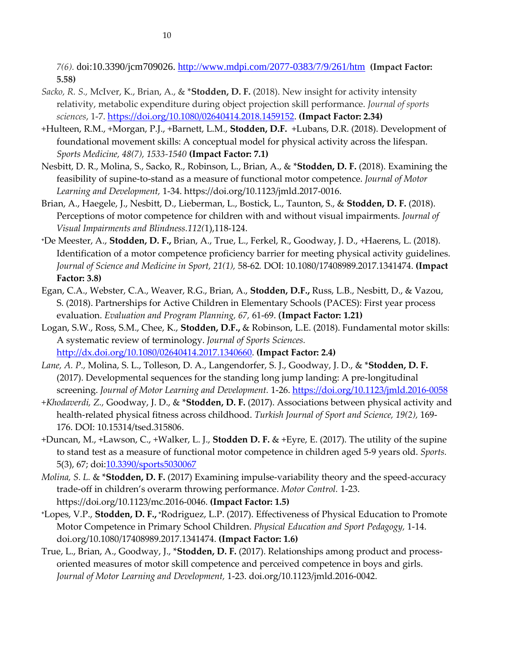*7(6).* doi:10.3390/jcm709026.<http://www.mdpi.com/2077-0383/7/9/261/htm> **(Impact Factor: 5.58)**

- *Sacko, R. S.,* McIver, K., Brian, A., & \***Stodden, D. F.** (2018). New insight for activity intensity relativity, metabolic expenditure during object projection skill performance. *Journal of sports sciences*, 1-7. [https://doi.org/10.1080/02640414.2018.1459152.](https://doi.org/10.1080/02640414.2018.1459152) **(Impact Factor: 2.34)**
- +Hulteen, R.M., +Morgan, P.J., +Barnett, L.M., **Stodden, D.F.** +Lubans, D.R. (2018). Development of foundational movement skills: A conceptual model for physical activity across the lifespan. *Sports Medicine, 48(7), 1533-1540* **(Impact Factor: 7.1)**
- Nesbitt, D. R., Molina, S., Sacko, R., Robinson, L., Brian, A., & \***Stodden, D. F.** (2018). Examining the feasibility of supine-to-stand as a measure of functional motor competence. *Journal of Motor Learning and Development,* 1-34. https://doi.org/10.1123/jmld.2017-0016.
- Brian, A., Haegele, J., Nesbitt, D., Lieberman, L., Bostick, L., Taunton, S., & **Stodden, D. F.** (2018). Perceptions of motor competence for children with and without visual impairments. *Journal of Visual Impairments and Blindness.112(*1),118-124.
- **<sup>+</sup>**De Meester, A., **Stodden, D. F.,** Brian, A., True, L., Ferkel, R., Goodway, J. D., +Haerens, L. (2018). Identification of a motor competence proficiency barrier for meeting physical activity guidelines. *Journal of Science and Medicine in Sport, 21(1),* 58-62*.* DOI: 10.1080/17408989.2017.1341474. **(Impact Factor: 3.8)**
- Egan, C.A., Webster, C.A., Weaver, R.G., Brian, A., **Stodden, D.F.,** Russ, L.B., Nesbitt, D., & Vazou, S. (2018). Partnerships for Active Children in Elementary Schools (PACES): First year process evaluation. *Evaluation and Program Planning, 67,* 61-69. (**Impact Factor: 1.21)**
- Logan, S.W., Ross, S.M., Chee, K., **Stodden, D.F.,** & Robinson, L.E. (2018). Fundamental motor skills: A systematic review of terminology. *Journal of Sports Sciences.* [http://dx.doi.org/10.1080/02640414.2017.1340660.](http://dx.doi.org/10.1080/02640414.2017.1340660) **(Impact Factor: 2.4)**
- *Lane, A. P.,* Molina, S. L., Tolleson, D. A., Langendorfer, S. J., Goodway, J. D., & \***Stodden, D. F.** (2017). Developmental sequences for the standing long jump landing: A pre-longitudinal screening. *Journal of Motor Learning and Development.* 1-26. <https://doi.org/10.1123/jmld.2016-0058>
- *+Khodaverdi, Z.,* Goodway, J. D., & \***Stodden, D. F.** (2017). Associations between physical activity and health-related physical fitness across childhood. *Turkish Journal of Sport and Science, 19(2),* 169- 176. DOI: 10.15314/tsed.315806.
- +Duncan, M., +Lawson, C., +Walker, L. J., **Stodden D. F.** & +Eyre, E. (2017). The utility of the supine to stand test as a measure of functional motor competence in children aged 5-9 years old. *Sports.* 5(3), 67; doi: 10.3390/sports 5030067
- *Molina, S. L.* & \***Stodden, D. F.** (2017) Examining impulse-variability theory and the speed-accuracy trade-off in children's overarm throwing performance. *Motor Control.* 1-23. https://doi.org/10.1123/mc.2016-0046. **(Impact Factor: 1.5)**
- **<sup>+</sup>**Lopes, V.P., **Stodden, D. F., <sup>+</sup>**Rodriguez, L.P. (2017). Effectiveness of Physical Education to Promote Motor Competence in Primary School Children. *Physical Education and Sport Pedagogy,* 1-14. doi.org/10.1080/17408989.2017.1341474. **(Impact Factor: 1.6)**
- True, L., Brian, A., Goodway, J., \***Stodden, D. F.** (2017). Relationships among product and processoriented measures of motor skill competence and perceived competence in boys and girls. *Journal of Motor Learning and Development,* 1-23. doi.org/10.1123/jmld.2016-0042.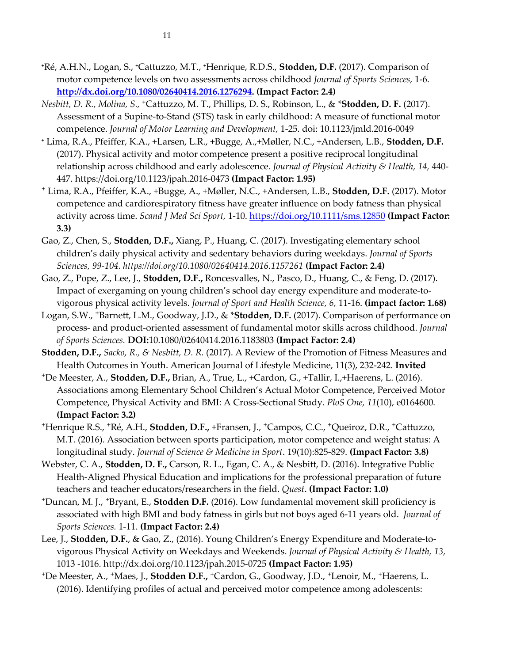- **<sup>+</sup>**Ré, A.H.N., Logan, S., **+**Cattuzzo, M.T., **+**Henrique, R.D.S., **Stodden, D.F.** (2017). Comparison of motor competence levels on two assessments across childhood *Journal of Sports Sciences,* 1-6. **[http://dx.doi.org/10.1080/02640414.2016.1276294.](http://dx.doi.org/10.1080/02640414.2016.1276294) (Impact Factor: 2.4)**
- *Nesbitt, D. R., Molina, S.,* **<sup>+</sup>**Cattuzzo, M. T., Phillips, D. S., Robinson, L., & *\****Stodden, D. F.** (2017). Assessment of a Supine-to-Stand (STS) task in early childhood: A measure of functional motor competence. *Journal of Motor Learning and Development,* 1-25. doi: 10.1123/jmld.2016-0049
- **<sup>+</sup>** Lima, R.A., Pfeiffer, K.A., +Larsen, L.R., +Bugge, A.,+Møller, N.C., +Andersen, L.B., **Stodden, D.F.** (2017). Physical activity and motor competence present a positive reciprocal longitudinal relationship across childhood and early adolescence. *Journal of Physical Activity & Health, 14,* 440- 447. https://doi.org/10.1123/jpah.2016-0473 **(Impact Factor: 1.95)**
- **<sup>+</sup>** Lima, R.A., Pfeiffer, K.A., +Bugge, A., +Møller, N.C., +Andersen, L.B., **Stodden, D.F.** (2017). Motor competence and cardiorespiratory fitness have greater influence on body fatness than physical activity across time. *Scand J Med Sci Sport,* 1-10.<https://doi.org/10.1111/sms.12850> **(Impact Factor: 3.3)**
- Gao, Z., Chen, S., **Stodden, D.F.,** Xiang, P., Huang, C. (2017). Investigating elementary school children's daily physical activity and sedentary behaviors during weekdays. *Journal of Sports Sciences, 99-104. https://doi.org/10.1080/02640414.2016.1157261* **(Impact Factor: 2.4)**
- Gao, Z., Pope, Z., Lee, J., **Stodden, D.F.,** Roncesvalles, N., Pasco, D., Huang, C., & Feng, D. (2017). Impact of exergaming on young children's school day energy expenditure and moderate-tovigorous physical activity levels. *Journal of Sport and Health Science, 6,* 11-16. **(impact factor: 1.68)**
- Logan, S.W., **+**Barnett, L.M., Goodway, J.D., & \***Stodden, D.F.** (2017). Comparison of performance on process- and product-oriented assessment of fundamental motor skills across childhood. *Journal of Sports Sciences.* **DOI:**10.1080/02640414.2016.1183803 **(Impact Factor: 2.4)**
- **Stodden, D.F.,** *Sacko, R., & Nesbitt, D. R.* (2017). A Review of the Promotion of Fitness Measures and Health Outcomes in Youth. American Journal of Lifestyle Medicine, 11(3), 232-242. **Invited**
- **<sup>+</sup>**De Meester, A., **Stodden, D.F.,** Brian, A., True, L., +Cardon, G., +Tallir, I.,+Haerens, L. (2016). Associations among Elementary School Children's Actual Motor Competence, Perceived Motor Competence, Physical Activity and BMI: A Cross-Sectional Study. *PloS One, 11*(10), e0164600. **(Impact Factor: 3.2)**
- **<sup>+</sup>**Henrique R.S., **+**Ré, A.H., **Stodden, D.F.,** +Fransen, J., **+**Campos, C.C., **+**Queiroz, D.R., **+**Cattuzzo, M.T. (2016). Association between sports participation, motor competence and weight status: A longitudinal study. *Journal of Science & Medicine in Sport*. 19(10):825-829. **(Impact Factor: 3.8)**
- Webster, C. A., **Stodden, D. F.,** Carson, R. L., Egan, C. A., & Nesbitt, D. (2016). Integrative Public Health-Aligned Physical Education and implications for the professional preparation of future teachers and teacher educators/researchers in the field. *Quest*. **(Impact Factor: 1.0)**
- **<sup>+</sup>**Duncan, M. J., **+**Bryant, E., **Stodden D.F.** (2016). Low fundamental movement skill proficiency is associated with high BMI and body fatness in girls but not boys aged 6-11 years old. *Journal of Sports Sciences.* 1-11. **(Impact Factor: 2.4)**
- Lee, J., **Stodden, D.F.**, & Gao, Z., (2016). Young Children's Energy Expenditure and Moderate-tovigorous Physical Activity on Weekdays and Weekends. *Journal of Physical Activity & Health, 13,* 1013 -1016. http://dx.doi.org/10.1123/jpah.2015-0725 **(Impact Factor: 1.95)**
- **<sup>+</sup>**De Meester, A., **+**Maes, J., **Stodden D.F., <sup>+</sup>**Cardon, G., Goodway, J.D., **+**Lenoir, M., **+**Haerens, L. (2016). Identifying profiles of actual and perceived motor competence among adolescents: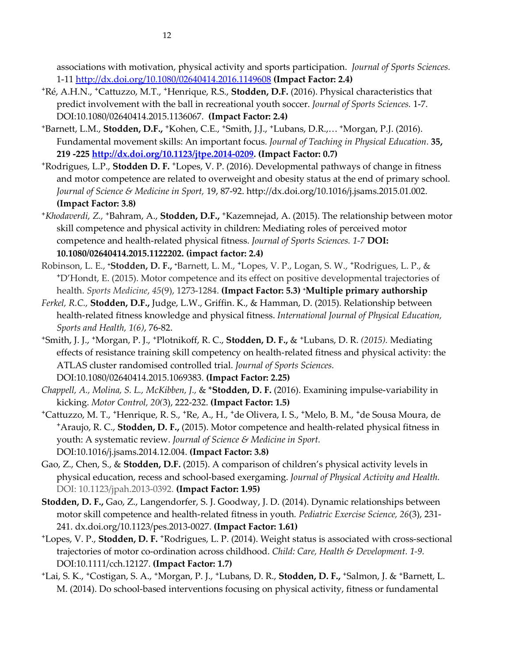associations with motivation, physical activity and sports participation. *Journal of Sports Sciences.* 1-11 <http://dx.doi.org/10.1080/02640414.2016.1149608> **(Impact Factor: 2.4)**

- **<sup>+</sup>**Ré, A.H.N., **+**Cattuzzo, M.T., **+**Henrique, R.S., **Stodden, D.F.** (2016). Physical characteristics that predict involvement with the ball in recreational youth soccer. *Journal of Sports Sciences.* 1-7. DOI:10.1080/02640414.2015.1136067. **(Impact Factor: 2.4)**
- **<sup>+</sup>**Barnett, L.M., **Stodden, D.F., <sup>+</sup>**Kohen, C.E., **+**Smith, J.J., **+**Lubans, D.R.,… **<sup>+</sup>**Morgan, P.J. (2016). Fundamental movement skills: An important focus. *Journal of Teaching in Physical Education.* **35, 219 -22[5 http://dx.doi.org/10.1123/jtpe.2014-0209.](http://dx.doi.org/10.1123/jtpe.2014-0209) (Impact Factor: 0.7)**
- **<sup>+</sup>**Rodrigues, L.P., **Stodden D. F. <sup>+</sup>**Lopes, V. P. (2016). Developmental pathways of change in fitness and motor competence are related to overweight and obesity status at the end of primary school. *Journal of Science & Medicine in Sport,* 19, 87-92. http://dx.doi.org/10.1016/j.jsams.2015.01.002. **(Impact Factor: 3.8)**
- **<sup>+</sup>***Khodaverdi, Z.,* **<sup>+</sup>**Bahram, A., **Stodden, D.F., <sup>+</sup>**Kazemnejad, A. (2015). The relationship between motor skill competence and physical activity in children: Mediating roles of perceived motor competence and health-related physical fitness. *Journal of Sports Sciences. 1-7* **DOI: 10.1080/02640414.2015.1122202. (impact factor: 2.4)**
- Robinson, L. E., **<sup>+</sup>Stodden, D. F., <sup>+</sup>**Barnett, L. M., **+**Lopes, V. P., Logan, S. W., **+**Rodrigues, L. P., & **<sup>+</sup>**D'Hondt, E. (2015). Motor competence and its effect on positive developmental trajectories of health. *Sports Medicine*, *45*(9), 1273-1284. **(Impact Factor: 5.3) <sup>+</sup>Multiple primary authorship**
- *Ferkel, R.C.,* **Stodden, D.F.,** Judge, L.W., Griffin. K., & Hamman, D. (2015). Relationship between health-related fitness knowledge and physical fitness. *International Journal of Physical Education, Sports and Health, 1(6)*, 76-82.
- **<sup>+</sup>**Smith, J. J., **+**Morgan, P. J., **+**Plotnikoff, R. C., **Stodden, D. F.,** & **+**Lubans, D. R. *(2015).* Mediating effects of resistance training skill competency on health-related fitness and physical activity: the ATLAS cluster randomised controlled trial. *Journal of Sports Sciences.*

DOI:10.1080/02640414.2015.1069383. **(Impact Factor: 2.25)**

*Chappell, A., Molina, S. L., McKibben, J.,* & \***Stodden, D. F.** (2016). Examining impulse-variability in kicking. *Motor Control, 20(*3), 222-232. **(Impact Factor: 1.5)**

- **<sup>+</sup>**Cattuzzo, M. T., **+**Henrique, R. S., **+**Re, A., H., **+**de Olivera, I. S., **+**Melo, B. M., **+**de Sousa Moura, de **<sup>+</sup>**Araujo, R. C., **Stodden, D. F.,** (2015). Motor competence and health-related physical fitness in youth: A systematic review. *Journal of Science & Medicine in Sport.* [DOI:10.1016/j.jsams.2014.12.004.](http://dx.doi.org/10.1016/j.jsams.2014.12.004) **(Impact Factor: 3.8)**
- Gao, Z., Chen, S., & **Stodden, D.F.** (2015). A comparison of children's physical activity levels in physical education, recess and school-based exergaming. *Journal of Physical Activity and Health.* DOI: 10.1123/jpah.2013-0392. **(Impact Factor: 1.95)**
- **Stodden, D. F.,** Gao, Z., Langendorfer, S. J. Goodway, J. D. (2014). Dynamic relationships between motor skill competence and health-related fitness in youth*. Pediatric Exercise Science, 26*(3), 231- 241. dx.doi.org/10.1123/pes.2013-0027. **(Impact Factor: 1.61)**
- **<sup>+</sup>**Lopes, V. P., **Stodden, D. F. +**Rodrigues, L. P. (2014). Weight status is associated with cross-sectional trajectories of motor co-ordination across childhood. *Child: Care, Health & Development. 1-9.*  DOI:10.1111/cch.12127. **(Impact Factor: 1.7)**
- **<sup>+</sup>**Lai, S. K., **+**Costigan, S. A., **+**Morgan, P. J., **+**Lubans, D. R., **Stodden, D. F., <sup>+</sup>**Salmon, J. & **+**Barnett, L. M. (2014). Do school-based interventions focusing on physical activity, fitness or fundamental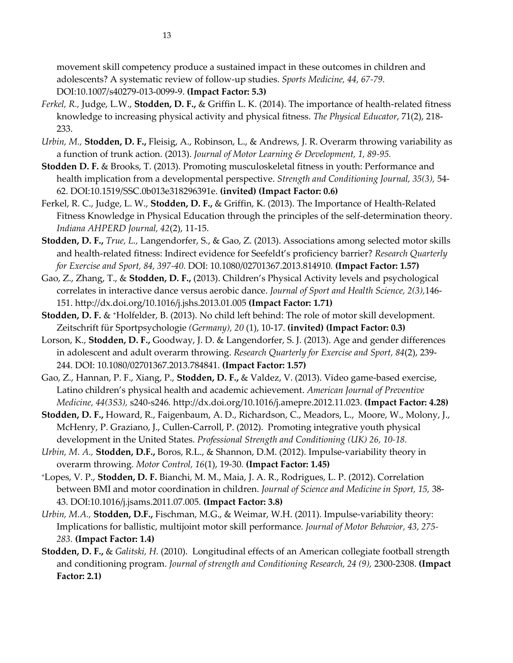movement skill competency produce a sustained impact in these outcomes in children and adolescents? A systematic review of follow-up studies. *Sports Medicine, 44, 67-79.* DOI:10.1007/s40279-013-0099-9. **(Impact Factor: 5.3)**

- *Ferkel, R.,* Judge, L.W., **Stodden, D. F.,** & Griffin L. K. (2014). The importance of health-related fitness knowledge to increasing physical activity and physical fitness. *The Physical Educator*, 71(2), 218- 233.
- *Urbin, M.,* **Stodden, D. F.,** Fleisig, A., Robinson, L., & Andrews, J. R. Overarm throwing variability as a function of trunk action. (2013). *Journal of Motor Learning & Development, 1, 89-95.*
- **Stodden D. F.** & Brooks, T. (2013). Promoting musculoskeletal fitness in youth: Performance and health implication from a developmental perspective. *Strength and Conditioning Journal, 35(3),* 54- 62. DOI:10.1519/SSC.0b013e318296391e. **(invited) (Impact Factor: 0.6)**
- Ferkel, R. C., Judge, L. W., **Stodden, D. F.,** & Griffin, K. (2013). The Importance of Health-Related Fitness Knowledge in Physical Education through the principles of the self-determination theory. *Indiana AHPERD Journal, 42*(2), 11-15.
- **Stodden, D. F.,** *True, L.,* Langendorfer, S., & Gao, Z. (2013). Associations among selected motor skills and health-related fitness: Indirect evidence for Seefeldt's proficiency barrier? *Research Quarterly for Exercise and Sport, 84, 397-40.* DOI: 10.1080/02701367.2013.814910*.* **(Impact Factor: 1.57)**
- Gao, Z., Zhang, T., & **Stodden, D. F.,** (2013). Children's Physical Activity levels and psychological correlates in interactive dance versus aerobic dance. *Journal of Sport and Health Science, 2(3),*146- 151. http://dx.doi.org/10.1016/j.jshs.2013.01.005 **(Impact Factor: 1.71)**
- **Stodden, D. F.** & **<sup>+</sup>**Holfelder, B. (2013). No child left behind: The role of motor skill development. Zeitschrift für Sportpsychologie *(Germany), 20* (1), 10-17. **(invited) (Impact Factor: 0.3)**
- Lorson, K., **Stodden, D. F.,** Goodway, J. D. & Langendorfer, S. J. (2013). Age and gender differences in adolescent and adult overarm throwing. *Research Quarterly for Exercise and Sport, 84*(2), 239- 244. DOI: 10.1080/02701367.2013.784841. **(Impact Factor: 1.57)**
- Gao, Z., Hannan, P. F., Xiang, P., **Stodden, D. F.,** & Valdez, V. (2013). Video game-based exercise, Latino children's physical health and academic achievement. *American Journal of Preventive Medicine, 44(3S3),* s240-s246*.* [http://dx.doi.org/10.1016/j.amepre.2012.11.023.](http://dx.doi.org/10.1016/j.amepre.2012.11.023) **(Impact Factor: 4.28)**
- **Stodden, D. F.,** Howard, R., Faigenbaum, A. D., Richardson, C., Meadors, L., Moore, W., Molony, J., McHenry, P. Graziano, J., Cullen-Carroll, P. (2012). Promoting integrative youth physical development in the United States. *Professional Strength and Conditioning (UK) 26, 10-18.*
- *Urbin, M. A.,* **Stodden, D.F.,** Boros, R.L., & Shannon, D.M. (2012). Impulse-variability theory in overarm throwing*. Motor Control, 16*(1), 19-30*.* **(Impact Factor: 1.45)**
- **<sup>+</sup>**Lopes, V. P., **Stodden, D. F.** Bianchi, M. M., Maia, J. A. R., Rodrigues, L. P. (2012). Correlation between BMI and motor coordination in children. *Journal of Science and Medicine in Sport, 15,* 38- 43. DOI:10.1016/j.jsams.2011.07.005. **(Impact Factor: 3.8)**
- *Urbin, M.A.,* **Stodden, D.F.,** Fischman, M.G., & Weimar, W.H. (2011). Impulse-variability theory: Implications for ballistic, multijoint motor skill performance*. Journal of Motor Behavior, 43, 275- 283.* **(Impact Factor: 1.4)**
- **Stodden, D. F.,** & *Galitski, H.* (2010). Longitudinal effects of an American collegiate football strength and conditioning program. *Journal of strength and Conditioning Research, 24 (9),* 2300-2308. **(Impact Factor: 2.1)**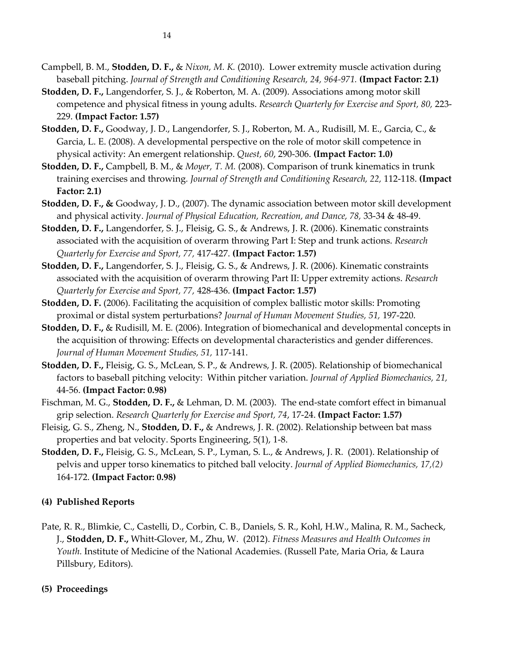- **Stodden, D. F.,** Langendorfer, S. J., & Roberton, M. A. (2009). Associations among motor skill competence and physical fitness in young adults. *Research Quarterly for Exercise and Sport, 80,* 223- 229. **(Impact Factor: 1.57)**
- **Stodden, D. F.,** Goodway, J. D., Langendorfer, S. J., Roberton, M. A., Rudisill, M. E., Garcia, C., & Garcia, L. E. (2008). A developmental perspective on the role of motor skill competence in physical activity: An emergent relationship. *Quest, 60*, 290-306. **(Impact Factor: 1.0)**
- **Stodden, D. F.,** Campbell, B. M., & *Moyer, T. M.* (2008). Comparison of trunk kinematics in trunk training exercises and throwing*. Journal of Strength and Conditioning Research, 22,* 112-118. **(Impact Factor: 2.1)**
- **Stodden, D. F., &** Goodway, J. D., (2007). The dynamic association between motor skill development and physical activity. *Journal of Physical Education, Recreation, and Dance, 78,* 33-34 & 48-49.
- **Stodden, D. F.,** Langendorfer, S. J., Fleisig, G. S., & Andrews, J. R. (2006). Kinematic constraints associated with the acquisition of overarm throwing Part I: Step and trunk actions. *Research Quarterly for Exercise and Sport, 77,* 417-427. **(Impact Factor: 1.57)**
- **Stodden, D. F.,** Langendorfer, S. J., Fleisig, G. S., & Andrews, J. R. (2006). Kinematic constraints associated with the acquisition of overarm throwing Part II: Upper extremity actions. *Research Quarterly for Exercise and Sport, 77,* 428-436. **(Impact Factor: 1.57)**
- **Stodden, D. F.** (2006). Facilitating the acquisition of complex ballistic motor skills: Promoting proximal or distal system perturbations? *Journal of Human Movement Studies, 51,* 197-220.
- **Stodden, D. F.,** & Rudisill, M. E*.* (2006). Integration of biomechanical and developmental concepts in the acquisition of throwing: Effects on developmental characteristics and gender differences. *Journal of Human Movement Studies, 51,* 117-141.
- **Stodden, D. F.,** Fleisig, G. S., McLean, S. P., & Andrews, J. R. (2005). Relationship of biomechanical factors to baseball pitching velocity: Within pitcher variation. *Journal of Applied Biomechanics, 21,*  44-56. **(Impact Factor: 0.98)**
- Fischman, M. G., **Stodden, D. F.,** & Lehman, D. M. (2003). The end-state comfort effect in bimanual grip selection. *Research Quarterly for Exercise and Sport, 74*, 17-24. **(Impact Factor: 1.57)**
- Fleisig, G. S., Zheng, N., **Stodden, D. F.,** & Andrews, J. R. (2002). Relationship between bat mass properties and bat velocity. Sports Engineering, 5(1), 1-8.
- **Stodden, D. F.,** Fleisig, G. S., McLean, S. P., Lyman, S. L., & Andrews, J. R. (2001). Relationship of pelvis and upper torso kinematics to pitched ball velocity. *Journal of Applied Biomechanics, 17,(2)* 164-172. **(Impact Factor: 0.98)**

# **(4) Published Reports**

Pate, R. R., Blimkie, C., Castelli, D., Corbin, C. B., Daniels, S. R., Kohl, H.W., Malina, R. M., Sacheck, J., **Stodden, D. F.,** Whitt-Glover, M., Zhu, W. (2012). *Fitness Measures and Health Outcomes in Youth.* Institute of Medicine of the National Academies. (Russell Pate, Maria Oria, & Laura Pillsbury, Editors).

# **(5) Proceedings**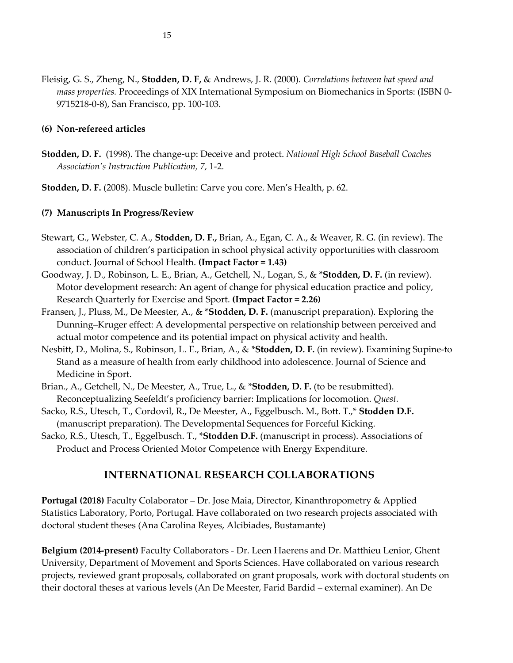Fleisig, G. S., Zheng, N., **Stodden, D. F,** & Andrews, J. R. (2000). *Correlations between bat speed and mass properties.* Proceedings of XIX International Symposium on Biomechanics in Sports: (ISBN 0- 9715218-0-8), San Francisco, pp. 100-103.

### **(6) Non-refereed articles**

**Stodden, D. F.** (1998). The change-up: Deceive and protect. *National High School Baseball Coaches Association's Instruction Publication, 7,* 1-2.

**Stodden, D. F.** (2008). Muscle bulletin: Carve you core. Men's Health, p. 62.

### **(7) Manuscripts In Progress/Review**

- Stewart, G., Webster, C. A., **Stodden, D. F.,** Brian, A., Egan, C. A., & Weaver, R. G. (in review). The association of children's participation in school physical activity opportunities with classroom conduct. Journal of School Health. **(Impact Factor = 1.43)**
- Goodway, J. D., Robinson, L. E., Brian, A., Getchell, N., Logan, S., & \***Stodden, D. F.** (in review). Motor development research: An agent of change for physical education practice and policy, Research Quarterly for Exercise and Sport. **(Impact Factor = 2.26)**
- Fransen, J., Pluss, M., De Meester, A., & \***Stodden, D. F.** (manuscript preparation). Exploring the Dunning–Kruger effect: A developmental perspective on relationship between perceived and actual motor competence and its potential impact on physical activity and health.
- Nesbitt, D., Molina, S., Robinson, L. E., Brian, A., & \***Stodden, D. F.** (in review). Examining Supine-to Stand as a measure of health from early childhood into adolescence. Journal of Science and Medicine in Sport.
- Brian., A., Getchell, N., De Meester, A., True, L., & \***Stodden, D. F.** (to be resubmitted). Reconceptualizing Seefeldt's proficiency barrier: Implications for locomotion. *Quest.*
- Sacko, R.S., Utesch, T., Cordovil, R., De Meester, A., Eggelbusch. M., Bott. T.,\* **Stodden D.F.** (manuscript preparation). The Developmental Sequences for Forceful Kicking.
- Sacko, R.S., Utesch, T., Eggelbusch. T., \***Stodden D.F.** (manuscript in process). Associations of Product and Process Oriented Motor Competence with Energy Expenditure.

### **INTERNATIONAL RESEARCH COLLABORATIONS**

**Portugal (2018)** Faculty Colaborator – Dr. Jose Maia, Director, Kinanthropometry & Applied Statistics Laboratory, Porto, Portugal. Have collaborated on two research projects associated with doctoral student theses (Ana Carolina Reyes, Alcibiades, Bustamante)

**Belgium (2014-present)** Faculty Collaborators - Dr. Leen Haerens and Dr. Matthieu Lenior, Ghent University, Department of Movement and Sports Sciences. Have collaborated on various research projects, reviewed grant proposals, collaborated on grant proposals, work with doctoral students on their doctoral theses at various levels (An De Meester, Farid Bardid – external examiner). An De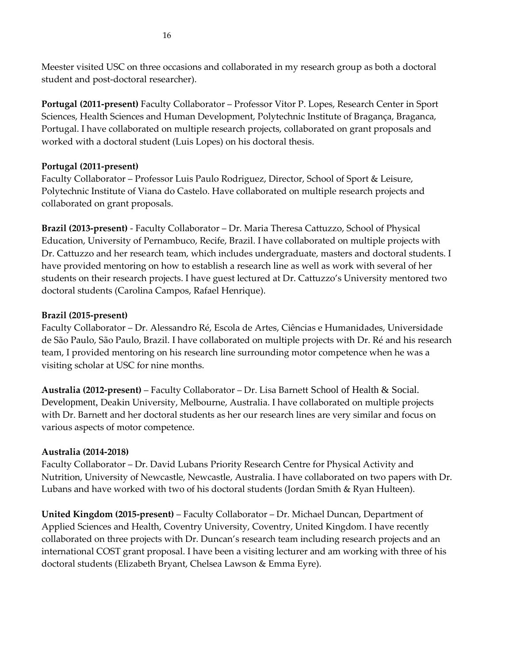Meester visited USC on three occasions and collaborated in my research group as both a doctoral student and post-doctoral researcher).

**Portugal (2011-present)** Faculty Collaborator – Professor Vitor P. Lopes, Research Center in Sport Sciences, Health Sciences and Human Development, Polytechnic Institute of Bragança, Braganca, Portugal. I have collaborated on multiple research projects, collaborated on grant proposals and worked with a doctoral student (Luis Lopes) on his doctoral thesis.

### **Portugal (2011-present)**

Faculty Collaborator – Professor Luis Paulo Rodriguez, Director, School of Sport & Leisure, Polytechnic Institute of Viana do Castelo. Have collaborated on multiple research projects and collaborated on grant proposals.

**Brazil (2013-present)** - Faculty Collaborator – Dr. Maria Theresa Cattuzzo, School of Physical Education, University of Pernambuco, Recife, Brazil. I have collaborated on multiple projects with Dr. Cattuzzo and her research team, which includes undergraduate, masters and doctoral students. I have provided mentoring on how to establish a research line as well as work with several of her students on their research projects. I have guest lectured at Dr. Cattuzzo's University mentored two doctoral students (Carolina Campos, Rafael Henrique).

### **Brazil (2015-present)**

Faculty Collaborator – Dr. Alessandro Ré, Escola de Artes, Ciências e Humanidades, Universidade de São Paulo, São Paulo, Brazil. I have collaborated on multiple projects with Dr. Ré and his research team, I provided mentoring on his research line surrounding motor competence when he was a visiting scholar at USC for nine months.

**Australia (2012-present)** – Faculty Collaborator – Dr. Lisa Barnett School of Health & Social. Development, Deakin University, Melbourne, Australia. I have collaborated on multiple projects with Dr. Barnett and her doctoral students as her our research lines are very similar and focus on various aspects of motor competence.

### **Australia (2014-2018)**

Faculty Collaborator – Dr. David Lubans Priority Research Centre for Physical Activity and Nutrition, University of Newcastle, Newcastle, Australia. I have collaborated on two papers with Dr. Lubans and have worked with two of his doctoral students (Jordan Smith & Ryan Hulteen).

**United Kingdom (2015-present)** – Faculty Collaborator – Dr. Michael Duncan, Department of Applied Sciences and Health, Coventry University, Coventry, United Kingdom. I have recently collaborated on three projects with Dr. Duncan's research team including research projects and an international COST grant proposal. I have been a visiting lecturer and am working with three of his doctoral students (Elizabeth Bryant, Chelsea Lawson & Emma Eyre).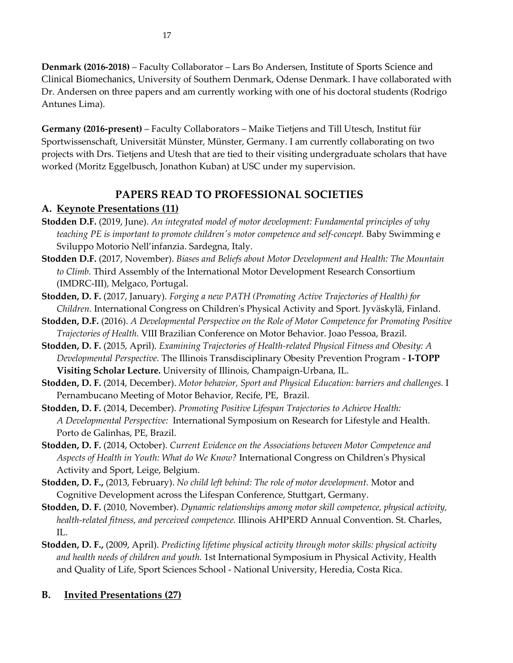**Denmark (2016-2018)** – Faculty Collaborator – Lars Bo Andersen, Institute of Sports Science and Clinical Biomechanics, University of Southern Denmark, Odense Denmark. I have collaborated with Dr. Andersen on three papers and am currently working with one of his doctoral students (Rodrigo Antunes Lima).

**Germany (2016-present)** – Faculty Collaborators – Maike Tietjens and Till Utesch, Institut für Sportwissenschaft, Universität Münster, Münster, Germany. I am currently collaborating on two projects with Drs. Tietjens and Utesh that are tied to their visiting undergraduate scholars that have worked (Moritz Eggelbusch, Jonathon Kuban) at USC under my supervision.

# **PAPERS READ TO PROFESSIONAL SOCIETIES**

# **A. Keynote Presentations (11)**

- **Stodden D.F.** (2019, June). *An integrated model of motor development: Fundamental principles of why teaching PE is important to promote children's motor competence and self-concept.* Baby Swimming e Sviluppo Motorio Nell'infanzia. Sardegna, Italy.
- **Stodden D.F.** (2017, November). *Biases and Beliefs about Motor Development and Health: The Mountain to Climb.* Third Assembly of the International Motor Development Research Consortium (IMDRC-III), Melgaco, Portugal.
- **Stodden, D. F.** (2017, January). *Forging a new PATH (Promoting Active Trajectories of Health) for Children.* International Congress on Children's Physical Activity and Sport. Jyväskylä, Finland.
- **Stodden, D.F.** (2016). *A Developmental Perspective on the Role of Motor Competence for Promoting Positive Trajectories of Health.* VIII Brazilian Conference on Motor Behavior. Joao Pessoa, Brazil.
- **Stodden, D. F.** (2015, April). *Examining Trajectories of Health-related Physical Fitness and Obesity: A Developmental Perspective.* The Illinois Transdisciplinary Obesity Prevention Program - **I-TOPP Visiting Scholar Lecture.** University of Illinois, Champaign-Urbana, IL.
- **Stodden, D. F.** (2014, December). *Motor behavior, Sport and Physical Education: barriers and challenges.* I Pernambucano Meeting of Motor Behavior, Recife, PE, Brazil.
- **Stodden, D. F.** (2014, December). *Promoting Positive Lifespan Trajectories to Achieve Health: A Developmental Perspective:* International Symposium on Research for Lifestyle and Health. Porto de Galinhas, PE, Brazil.
- **Stodden, D. F.** (2014, October). *Current Evidence on the Associations between Motor Competence and Aspects of Health in Youth: What do We Know?* International Congress on Children's Physical Activity and Sport, Leige, Belgium.
- **Stodden, D. F.,** (2013, February). *No child left behind: The role of motor development.* Motor and Cognitive Development across the Lifespan Conference, Stuttgart, Germany.
- **Stodden, D. F.** (2010, November). *Dynamic relationships among motor skill competence, physical activity, health-related fitness, and perceived competence.* Illinois AHPERD Annual Convention. St. Charles, IL.
- **Stodden, D. F.,** (2009, April). *Predicting lifetime physical activity through motor skills: physical activity and health needs of children and youth.* 1st International Symposium in Physical Activity, Health and Quality of Life, Sport Sciences School - National University, Heredia, Costa Rica.

# **B. Invited Presentations (27)**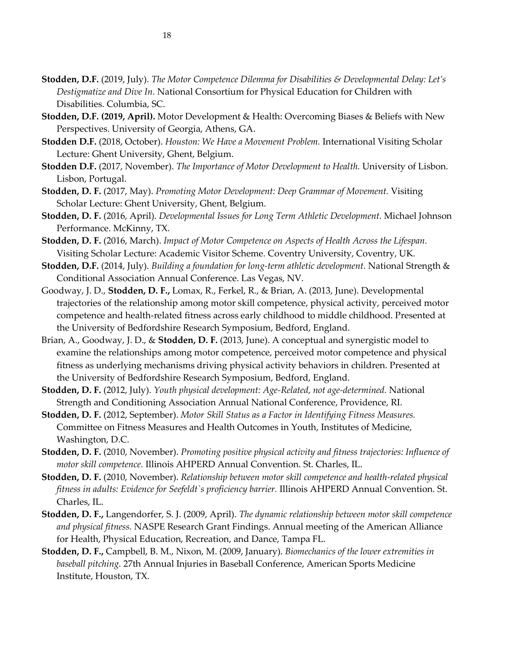- **Stodden, D.F.** (2019, July). *The Motor Competence Dilemma for Disabilities & Developmental Delay: Let's Destigmatize and Dive In.* National Consortium for Physical Education for Children with Disabilities. Columbia, SC.
- **Stodden, D.F. (2019, April).** Motor Development & Health: Overcoming Biases & Beliefs with New Perspectives. University of Georgia, Athens, GA.
- **Stodden D.F.** (2018, October). *Houston: We Have a Movement Problem.* International Visiting Scholar Lecture: Ghent University, Ghent, Belgium.
- **Stodden D.F.** (2017, November). *The Importance of Motor Development to Health.* University of Lisbon. Lisbon, Portugal.
- **Stodden, D. F.** (2017, May). *Promoting Motor Development: Deep Grammar of Movement.* Visiting Scholar Lecture: Ghent University, Ghent, Belgium.
- **Stodden, D. F.** (2016, April). *Developmental Issues for Long Term Athletic Development.* Michael Johnson Performance. McKinny, TX.
- **Stodden, D. F.** (2016, March). *Impact of Motor Competence on Aspects of Health Across the Lifespan.* Visiting Scholar Lecture: Academic Visitor Scheme. Coventry University, Coventry, UK.
- **Stodden, D.F.** (2014, July). *Building a foundation for long-term athletic development.* National Strength & Conditional Association Annual Conference. Las Vegas, NV.
- Goodway, J. D., **Stodden, D. F.,** Lomax, R., Ferkel, R., & Brian, A. (2013, June). Developmental trajectories of the relationship among motor skill competence, physical activity, perceived motor competence and health-related fitness across early childhood to middle childhood. Presented at the University of Bedfordshire Research Symposium, Bedford, England.
- Brian, A., Goodway, J. D., & **Stodden, D. F.** (2013, June). A conceptual and synergistic model to examine the relationships among motor competence, perceived motor competence and physical fitness as underlying mechanisms driving physical activity behaviors in children. Presented at the University of Bedfordshire Research Symposium, Bedford, England.
- **Stodden, D. F.** (2012, July). *Youth physical development: Age-Related, not age-determined.* National Strength and Conditioning Association Annual National Conference, Providence, RI.
- **Stodden, D. F.** (2012, September). *Motor Skill Status as a Factor in Identifying Fitness Measures.* Committee on Fitness Measures and Health Outcomes in Youth, Institutes of Medicine, Washington, D.C.
- **Stodden, D. F.** (2010, November). *Promoting positive physical activity and fitness trajectories: Influence of motor skill competence.* Illinois AHPERD Annual Convention. St. Charles, IL.
- **Stodden, D. F.** (2010, November). *Relationship between motor skill competence and health-related physical fitness in adults: Evidence for Seefeldt`s proficiency barrier.* Illinois AHPERD Annual Convention. St. Charles, IL.
- **Stodden, D. F.,** Langendorfer, S. J. (2009, April). *The dynamic relationship between motor skill competence and physical fitness.* NASPE Research Grant Findings. Annual meeting of the American Alliance for Health, Physical Education, Recreation, and Dance, Tampa FL.
- **Stodden, D. F.,** Campbell, B. M., Nixon, M. (2009, January). *Biomechanics of the lower extremities in baseball pitching.* 27th Annual Injuries in Baseball Conference, American Sports Medicine Institute, Houston, TX.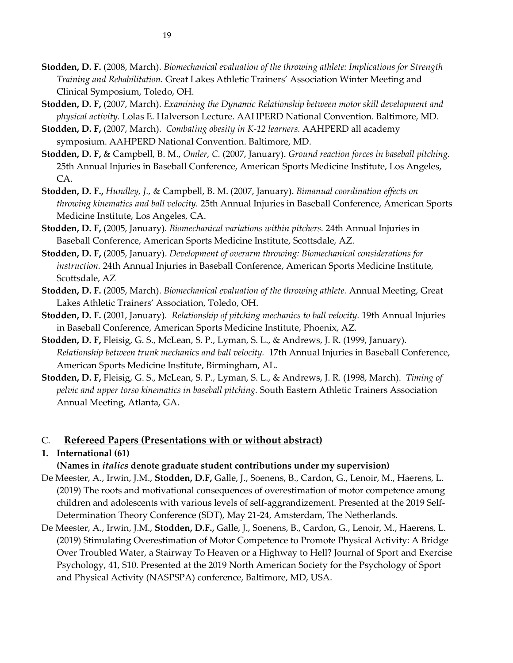- **Stodden, D. F.** (2008, March). *Biomechanical evaluation of the throwing athlete: Implications for Strength Training and Rehabilitation.* Great Lakes Athletic Trainers' Association Winter Meeting and Clinical Symposium, Toledo, OH.
- **Stodden, D. F,** (2007, March). *Examining the Dynamic Relationship between motor skill development and physical activity.* Lolas E. Halverson Lecture. AAHPERD National Convention. Baltimore, MD.
- **Stodden, D. F,** (2007, March). *Combating obesity in K-12 learners.* AAHPERD all academy symposium. AAHPERD National Convention. Baltimore, MD.
- **Stodden, D. F,** & Campbell, B. M., *Omler, C.* (2007, January). *Ground reaction forces in baseball pitching.* 25th Annual Injuries in Baseball Conference, American Sports Medicine Institute, Los Angeles, CA.
- **Stodden, D. F.,** *Hundley, J.,* & Campbell, B. M. (2007, January). *Bimanual coordination effects on throwing kinematics and ball velocity.* 25th Annual Injuries in Baseball Conference, American Sports Medicine Institute, Los Angeles, CA.
- **Stodden, D. F,** (2005, January). *Biomechanical variations within pitchers.* 24th Annual Injuries in Baseball Conference, American Sports Medicine Institute, Scottsdale, AZ.
- **Stodden, D. F,** (2005, January). *Development of overarm throwing: Biomechanical considerations for instruction.* 24th Annual Injuries in Baseball Conference, American Sports Medicine Institute, Scottsdale, AZ
- **Stodden, D. F.** (2005, March). *Biomechanical evaluation of the throwing athlete.* Annual Meeting, Great Lakes Athletic Trainers' Association, Toledo, OH.
- **Stodden, D. F.** (2001, January). *Relationship of pitching mechanics to ball velocity.* 19th Annual Injuries in Baseball Conference, American Sports Medicine Institute, Phoenix, AZ.
- **Stodden, D. F,** Fleisig, G. S., McLean, S. P., Lyman, S. L., & Andrews, J. R. (1999, January). *Relationship between trunk mechanics and ball velocity.* 17th Annual Injuries in Baseball Conference, American Sports Medicine Institute, Birmingham, AL.
- **Stodden, D. F,** Fleisig, G. S., McLean, S. P., Lyman, S. L., & Andrews, J. R. (1998, March). *Timing of pelvic and upper torso kinematics in baseball pitching.* South Eastern Athletic Trainers Association Annual Meeting, Atlanta, GA.

### C. **Refereed Papers (Presentations with or without abstract)**

# **1. International (61)**

**(Names in** *italics* **denote graduate student contributions under my supervision)**

- De Meester, A., Irwin, J.M., **Stodden, D.F,** Galle, J., Soenens, B., Cardon, G., Lenoir, M., Haerens, L. (2019) The roots and motivational consequences of overestimation of motor competence among children and adolescents with various levels of self-aggrandizement. Presented at the 2019 Self-Determination Theory Conference (SDT), May 21-24, Amsterdam, The Netherlands.
- De Meester, A., Irwin, J.M., **Stodden, D.F.,** Galle, J., Soenens, B., Cardon, G., Lenoir, M., Haerens, L. (2019) Stimulating Overestimation of Motor Competence to Promote Physical Activity: A Bridge Over Troubled Water, a Stairway To Heaven or a Highway to Hell? Journal of Sport and Exercise Psychology, 41, S10. Presented at the 2019 North American Society for the Psychology of Sport and Physical Activity (NASPSPA) conference, Baltimore, MD, USA.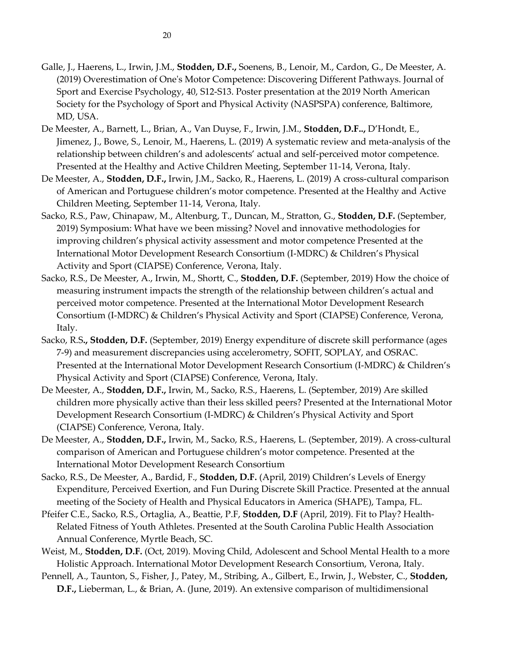20

- (2019) Overestimation of One's Motor Competence: Discovering Different Pathways. Journal of Sport and Exercise Psychology, 40, S12-S13. Poster presentation at the 2019 North American Society for the Psychology of Sport and Physical Activity (NASPSPA) conference, Baltimore, MD, USA.
- De Meester, A., Barnett, L., Brian, A., Van Duyse, F., Irwin, J.M., **Stodden, D.F..,** D'Hondt, E., Jimenez, J., Bowe, S., Lenoir, M., Haerens, L. (2019) A systematic review and meta-analysis of the relationship between children's and adolescents' actual and self-perceived motor competence. Presented at the Healthy and Active Children Meeting, September 11-14, Verona, Italy.
- De Meester, A., **Stodden, D.F.,** Irwin, J.M., Sacko, R., Haerens, L. (2019) A cross-cultural comparison of American and Portuguese children's motor competence. Presented at the Healthy and Active Children Meeting, September 11-14, Verona, Italy.
- Sacko, R.S., Paw, Chinapaw, M., Altenburg, T., Duncan, M., Stratton, G., **Stodden, D.F.** (September, 2019) Symposium: What have we been missing? Novel and innovative methodologies for improving children's physical activity assessment and motor competence Presented at the International Motor Development Research Consortium (I-MDRC) & Children's Physical Activity and Sport (CIAPSE) Conference, Verona, Italy.
- Sacko, R.S., De Meester, A., Irwin, M., Shortt, C., **Stodden, D.F.** (September, 2019) How the choice of measuring instrument impacts the strength of the relationship between children's actual and perceived motor competence. Presented at the International Motor Development Research Consortium (I-MDRC) & Children's Physical Activity and Sport (CIAPSE) Conference, Verona, Italy.
- Sacko, R.S**., Stodden, D.F.** (September, 2019) Energy expenditure of discrete skill performance (ages 7-9) and measurement discrepancies using accelerometry, SOFIT, SOPLAY, and OSRAC. Presented at the International Motor Development Research Consortium (I-MDRC) & Children's Physical Activity and Sport (CIAPSE) Conference, Verona, Italy.
- De Meester, A., **Stodden, D.F.,** Irwin, M., Sacko, R.S., Haerens, L. (September, 2019) Are skilled children more physically active than their less skilled peers? Presented at the International Motor Development Research Consortium (I-MDRC) & Children's Physical Activity and Sport (CIAPSE) Conference, Verona, Italy.
- De Meester, A., **Stodden, D.F.,** Irwin, M., Sacko, R.S., Haerens, L. (September, 2019). A cross-cultural comparison of American and Portuguese children's motor competence. Presented at the International Motor Development Research Consortium
- Sacko, R.S., De Meester, A., Bardid, F., **Stodden, D.F.** (April, 2019) Children's Levels of Energy Expenditure, Perceived Exertion, and Fun During Discrete Skill Practice. Presented at the annual meeting of the Society of Health and Physical Educators in America (SHAPE), Tampa, FL.
- Pfeifer C.E., Sacko, R.S., Ortaglia, A., Beattie, P.F, **Stodden, D.F** (April, 2019). Fit to Play? Health-Related Fitness of Youth Athletes. Presented at the South Carolina Public Health Association Annual Conference, Myrtle Beach, SC.
- Weist, M., **Stodden, D.F.** (Oct, 2019). Moving Child, Adolescent and School Mental Health to a more Holistic Approach. International Motor Development Research Consortium, Verona, Italy.
- Pennell, A., Taunton, S., Fisher, J., Patey, M., Stribing, A., Gilbert, E., Irwin, J., Webster, C., **Stodden, D.F.,** Lieberman, L., & Brian, A. (June, 2019). An extensive comparison of multidimensional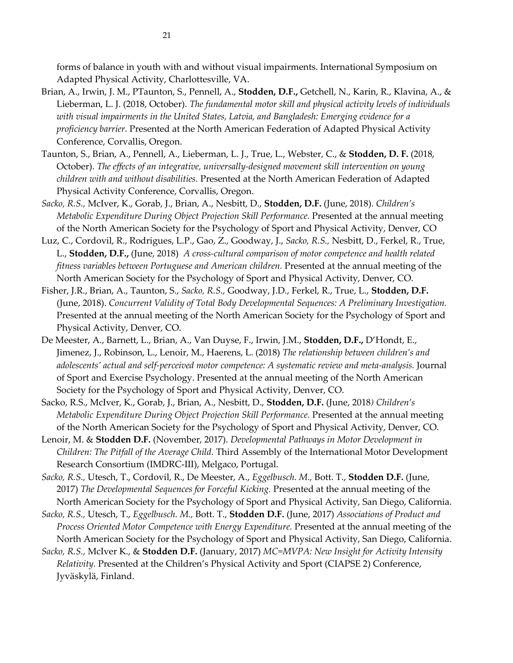forms of balance in youth with and without visual impairments. International Symposium on Adapted Physical Activity, Charlottesville, VA.

- Brian, A., Irwin, J. M., PTaunton, S., Pennell, A., **Stodden, D.F.,** Getchell, N., Karin, R., Klavina, A., & Lieberman, L. J. (2018, October). *The fundamental motor skill and physical activity levels of individuals with visual impairments in the United States, Latvia, and Bangladesh: Emerging evidence for a proficiency barrier.* Presented at the North American Federation of Adapted Physical Activity Conference, Corvallis, Oregon.
- Taunton, S., Brian, A., Pennell, A., Lieberman, L. J., True, L., Webster, C., & **Stodden, D. F.** (2018, October). *The effects of an integrative, universally-designed movement skill intervention on young children with and without disabilities.* Presented at the North American Federation of Adapted Physical Activity Conference, Corvallis, Oregon.
- *Sacko, R.S.,* McIver, K., Gorab, J., Brian, A., Nesbitt, D., **Stodden, D.F.** (June, 2018). *Children's Metabolic Expenditure During Object Projection Skill Performance.* Presented at the annual meeting of the North American Society for the Psychology of Sport and Physical Activity, Denver, CO
- Luz, C., Cordovil, R., Rodrigues, L.P., Gao, Z., Goodway, J., *Sacko, R.S.,* Nesbitt, D., Ferkel, R., True, L., **Stodden, D.F.,** (June, 2018) *A cross-cultural comparison of motor competence and health related fitness variables between Portuguese and American children.* Presented at the annual meeting of the North American Society for the Psychology of Sport and Physical Activity, Denver, CO.
- Fisher, J.R., Brian, A., Taunton, S., *Sacko, R.S.,* Goodway, J.D., Ferkel, R., True, L., **Stodden, D.F.** (June, 2018). *Concurrent Validity of Total Body Developmental Sequences: A Preliminary Investigation.* Presented at the annual meeting of the North American Society for the Psychology of Sport and Physical Activity, Denver, CO.
- De Meester, A., Barnett, L., Brian, A., Van Duyse, F., Irwin, J.M., **Stodden, D.F.,** D'Hondt, E., Jimenez, J., Robinson, L., Lenoir, M., Haerens, L. (2018) *The relationship between children's and adolescents' actual and self-perceived motor competence: A systematic review and meta-analysis.* Journal of Sport and Exercise Psychology. Presented at the annual meeting of the North American Society for the Psychology of Sport and Physical Activity, Denver, CO.
- Sacko, R.S., McIver, K., Gorab, J., Brian, A., Nesbitt, D., **Stodden, D.F.** (June, 2018*) Children's Metabolic Expenditure During Object Projection Skill Performance.* Presented at the annual meeting of the North American Society for the Psychology of Sport and Physical Activity, Denver, CO.
- Lenoir, M. & **Stodden D.F.** (November, 2017). *Developmental Pathways in Motor Development in Children: The Pitfall of the Average Child.* Third Assembly of the International Motor Development Research Consortium (IMDRC-III), Melgaco, Portugal.
- *Sacko, R.S.,* Utesch, T., Cordovil, R., De Meester, A., *Eggelbusch. M.,* Bott. T., **Stodden D.F.** (June, 2017) *The Developmental Sequences for Forceful Kicking.* Presented at the annual meeting of the North American Society for the Psychology of Sport and Physical Activity, San Diego, California.
- *Sacko, R.S.,* Utesch, T., *Eggelbusch. M.,* Bott. T., **Stodden D.F.** (June, 2017) *Associations of Product and Process Oriented Motor Competence with Energy Expenditure.* Presented at the annual meeting of the North American Society for the Psychology of Sport and Physical Activity, San Diego, California.
- *Sacko, R.S.,* McIver K., & **Stodden D.F.** (January, 2017) *MC=MVPA: New Insight for Activity Intensity Relativity.* Presented at the Children's Physical Activity and Sport (CIAPSE 2) Conference, Jyväskylä, Finland.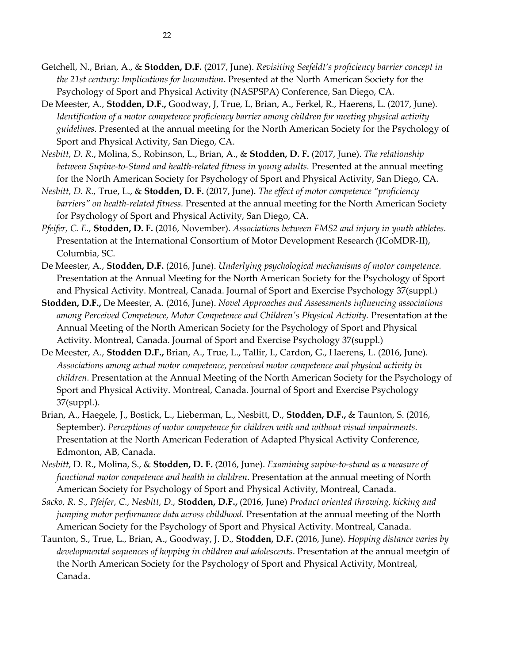- De Meester, A., **Stodden, D.F.,** Goodway, J, True, L, Brian, A., Ferkel, R., Haerens, L. (2017, June)*. Identification of a motor competence proficiency barrier among children for meeting physical activity guidelines.* Presented at the annual meeting for the North American Society for the Psychology of Sport and Physical Activity, San Diego, CA.
- *Nesbitt, D. R*., Molina, S., Robinson, L., Brian, A., & **Stodden, D. F.** (2017, June). *The relationship*  between Supine-to-Stand and health-related fitness in young adults. Presented at the annual meeting for the North American Society for Psychology of Sport and Physical Activity, San Diego, CA.
- *Nesbitt, D. R.,* True, L., & **Stodden, D. F.** (2017, June). *The effect of motor competence "proficiency barriers" on health-related fitness.* Presented at the annual meeting for the North American Society for Psychology of Sport and Physical Activity, San Diego, CA.
- *Pfeifer, C. E.,* **Stodden, D. F.** (2016, November). *Associations between FMS2 and injury in youth athletes.*  Presentation at the International Consortium of Motor Development Research (ICoMDR-II), Columbia, SC.
- De Meester, A., **Stodden, D.F.** (2016, June). *Underlying psychological mechanisms of motor competence.* Presentation at the Annual Meeting for the North American Society for the Psychology of Sport and Physical Activity. Montreal, Canada. Journal of Sport and Exercise Psychology 37(suppl.)
- **Stodden, D.F.,** De Meester, A. (2016, June). *Novel Approaches and Assessments influencing associations among Perceived Competence, Motor Competence and Children's Physical Activity.* Presentation at the Annual Meeting of the North American Society for the Psychology of Sport and Physical Activity. Montreal, Canada. Journal of Sport and Exercise Psychology 37(suppl.)
- De Meester, A., **Stodden D.F.,** Brian, A., True, L., Tallir, I., Cardon, G., Haerens, L. (2016, June). *Associations among actual motor competence, perceived motor competence and physical activity in children.* Presentation at the Annual Meeting of the North American Society for the Psychology of Sport and Physical Activity. Montreal, Canada. Journal of Sport and Exercise Psychology 37(suppl.).
- Brian, A., Haegele, J., Bostick, L., Lieberman, L., Nesbitt, D., **Stodden, D.F.,** & Taunton, S. (2016, September). *Perceptions of motor competence for children with and without visual impairments.* Presentation at the North American Federation of Adapted Physical Activity Conference, Edmonton, AB, Canada.
- *Nesbitt,* D. R., Molina, S., & **Stodden, D. F.** (2016, June). *Examining supine-to-stand as a measure of functional motor competence and health in children*. Presentation at the annual meeting of North American Society for Psychology of Sport and Physical Activity, Montreal, Canada.
- *Sacko, R. S., Pfeifer, C., Nesbitt, D.,* **Stodden, D.F.,** (2016, June) *Product oriented throwing, kicking and jumping motor performance data across childhood.* Presentation at the annual meeting of the North American Society for the Psychology of Sport and Physical Activity. Montreal, Canada.
- Taunton, S., True, L., Brian, A., Goodway, J. D., **Stodden, D.F.** (2016, June). *Hopping distance varies by developmental sequences of hopping in children and adolescents*. Presentation at the annual meetgin of the North American Society for the Psychology of Sport and Physical Activity, Montreal, Canada.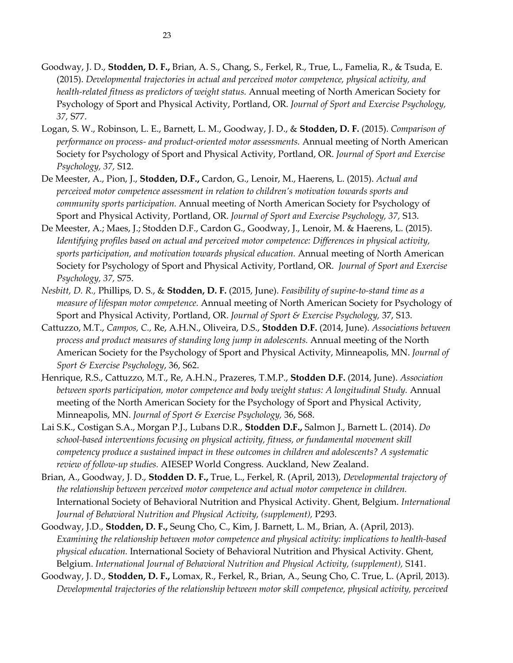- Goodway, J. D., **Stodden, D. F.,** Brian, A. S., Chang, S., Ferkel, R., True, L., Famelia, R., & Tsuda, E. (2015). *Developmental trajectories in actual and perceived motor competence, physical activity, and health-related fitness as predictors of weight status.* Annual meeting of North American Society for Psychology of Sport and Physical Activity, Portland, OR. *Journal of Sport and Exercise Psychology, 37,* S77.
- Logan, S. W., Robinson, L. E., Barnett, L. M., Goodway, J. D., & **Stodden, D. F.** (2015). *Comparison of performance on process- and product-oriented motor assessments.* Annual meeting of North American Society for Psychology of Sport and Physical Activity, Portland, OR. *Journal of Sport and Exercise Psychology, 37,* S12.
- De Meester, A., Pion, J., **Stodden, D.F.,** Cardon, G., Lenoir, M., Haerens, L. (2015). *Actual and perceived motor competence assessment in relation to children's motivation towards sports and community sports participation.* Annual meeting of North American Society for Psychology of Sport and Physical Activity, Portland, OR. *Journal of Sport and Exercise Psychology, 37,* S13.
- De Meester, A.; Maes, J.; Stodden D.F., Cardon G., Goodway, J., Lenoir, M. & Haerens, L. (2015). *Identifying profiles based on actual and perceived motor competence: Differences in physical activity, sports participation, and motivation towards physical education.* Annual meeting of North American Society for Psychology of Sport and Physical Activity, Portland, OR. *Journal of Sport and Exercise Psychology, 37,* S75.
- *Nesbitt, D. R.,* Phillips, D. S., & **Stodden, D. F.** (2015, June). *Feasibility of supine-to-stand time as a measure of lifespan motor competence.* Annual meeting of North American Society for Psychology of Sport and Physical Activity, Portland, OR. *Journal of Sport & Exercise Psychology,* 37, S13.
- Cattuzzo, M.T., *Campos, C.,* Re, A.H.N., Oliveira, D.S., **Stodden D.F.** (2014, June). *Associations between process and product measures of standing long jump in adolescents.* Annual meeting of the North American Society for the Psychology of Sport and Physical Activity, Minneapolis, MN. *Journal of Sport & Exercise Psychology*, 36, S62.
- Henrique, R.S., Cattuzzo, M.T., Re, A.H.N., Prazeres, T.M.P., **Stodden D.F.** (2014, June). *Association between sports participation, motor competence and body weight status: A longitudinal Study.* Annual meeting of the North American Society for the Psychology of Sport and Physical Activity, Minneapolis, MN. *Journal of Sport & Exercise Psychology,* 36, S68.
- Lai S.K., Costigan S.A., Morgan P.J., Lubans D.R., **Stodden D.F.,** Salmon J., Barnett L. (2014). *Do school-based interventions focusing on physical activity, fitness, or fundamental movement skill competency produce a sustained impact in these outcomes in children and adolescents? A systematic review of follow-up studies.* AIESEP World Congress. Auckland, New Zealand.
- Brian, A., Goodway, J. D., **Stodden D. F.,** True, L., Ferkel, R. (April, 2013), *Developmental trajectory of the relationship between perceived motor competence and actual motor competence in children.* International Society of Behavioral Nutrition and Physical Activity. Ghent, Belgium. *International Journal of Behavioral Nutrition and Physical Activity, (supplement),* P293.
- Goodway, J.D., **Stodden, D. F.,** Seung Cho, C., Kim, J. Barnett, L. M., Brian, A. (April, 2013). *Examining the relationship between motor competence and physical activity: implications to health-based physical education.* International Society of Behavioral Nutrition and Physical Activity. Ghent, Belgium. *International Journal of Behavioral Nutrition and Physical Activity, (supplement),* S141.
- Goodway, J. D., **Stodden, D. F.,** Lomax, R., Ferkel, R., Brian, A., Seung Cho, C. True, L. (April, 2013). *Developmental trajectories of the relationship between motor skill competence, physical activity, perceived*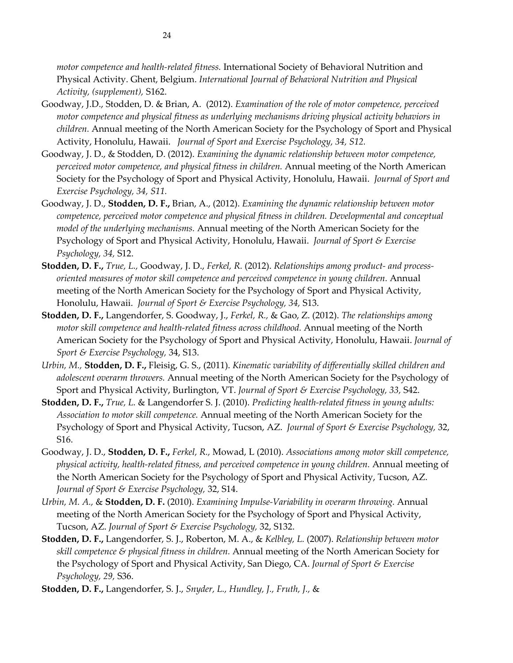*motor competence and health-related fitness.* International Society of Behavioral Nutrition and Physical Activity. Ghent, Belgium. *International Journal of Behavioral Nutrition and Physical Activity, (supplement),* S162.

- Goodway, J.D., Stodden, D. & Brian, A. (2012). *Examination of the role of motor competence, perceived motor competence and physical fitness as underlying mechanisms driving physical activity behaviors in children.* Annual meeting of the North American Society for the Psychology of Sport and Physical Activity, Honolulu, Hawaii. *Journal of Sport and Exercise Psychology, 34, S12.*
- Goodway, J. D., & Stodden, D. (2012). *Examining the dynamic relationship between motor competence, perceived motor competence, and physical fitness in children.* Annual meeting of the North American Society for the Psychology of Sport and Physical Activity, Honolulu, Hawaii. *Journal of Sport and Exercise Psychology, 34, S11.*
- Goodway, J. D., **Stodden, D. F.,** Brian, A., (2012). *Examining the dynamic relationship between motor competence, perceived motor competence and physical fitness in children. Developmental and conceptual model of the underlying mechanisms.* Annual meeting of the North American Society for the Psychology of Sport and Physical Activity, Honolulu, Hawaii. *Journal of Sport & Exercise Psychology, 34,* S12.
- **Stodden, D. F.,** *True, L.,* Goodway, J. D., *Ferkel, R.* (2012). *Relationships among product- and processoriented measures of motor skill competence and perceived competence in young children.* Annual meeting of the North American Society for the Psychology of Sport and Physical Activity, Honolulu, Hawaii. *Journal of Sport & Exercise Psychology, 34,* S13.
- **Stodden, D. F.,** Langendorfer, S. Goodway, J., *Ferkel, R.,* & Gao, Z. (2012). *The relationships among motor skill competence and health-related fitness across childhood.* Annual meeting of the North American Society for the Psychology of Sport and Physical Activity, Honolulu, Hawaii. *Journal of Sport & Exercise Psychology,* 34, S13.
- *Urbin, M.,* **Stodden, D. F.,** Fleisig, G. S., (2011). *Kinematic variability of differentially skilled children and adolescent overarm throwers.* Annual meeting of the North American Society for the Psychology of Sport and Physical Activity, Burlington, VT. *Journal of Sport & Exercise Psychology, 33,* S42.
- **Stodden, D. F.,** *True, L.* & Langendorfer S. J. (2010). *Predicting health-related fitness in young adults: Association to motor skill competence.* Annual meeting of the North American Society for the Psychology of Sport and Physical Activity, Tucson, AZ. *Journal of Sport & Exercise Psychology,* 32, S16.
- Goodway, J. D., **Stodden, D. F.,** *Ferkel, R.,* Mowad, L (2010). *Associations among motor skill competence, physical activity, health-related fitness, and perceived competence in young children.* Annual meeting of the North American Society for the Psychology of Sport and Physical Activity, Tucson, AZ. *Journal of Sport & Exercise Psychology,* 32, S14.
- *Urbin, M. A.,* & **Stodden, D. F.** (2010). *Examining Impulse-Variability in overarm throwing.* Annual meeting of the North American Society for the Psychology of Sport and Physical Activity, Tucson, AZ. *Journal of Sport & Exercise Psychology,* 32, S132.
- **Stodden, D. F.,** Langendorfer, S. J., Roberton, M. A., & *Kelbley, L.* (2007). *Relationship between motor skill competence & physical fitness in children.* Annual meeting of the North American Society for the Psychology of Sport and Physical Activity, San Diego, CA. *Journal of Sport & Exercise Psychology, 29,* S36.
- **Stodden, D. F.,** Langendorfer, S. J., *Snyder, L., Hundley, J., Fruth, J.,* &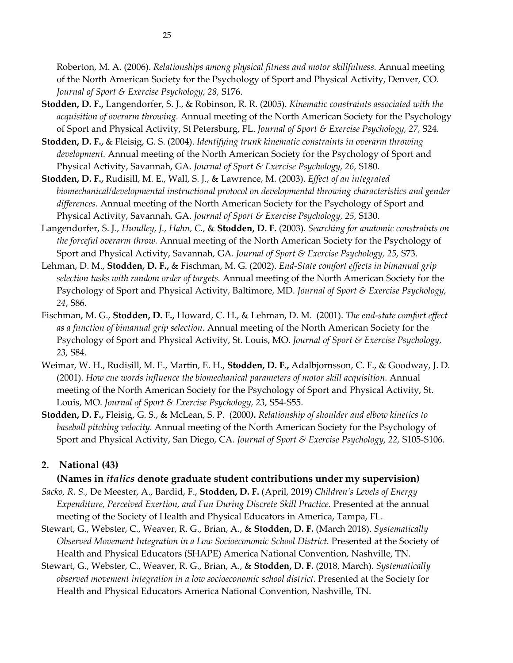Roberton, M. A. (2006). *Relationships among physical fitness and motor skillfulness.* Annual meeting of the North American Society for the Psychology of Sport and Physical Activity, Denver, CO. *Journal of Sport & Exercise Psychology, 28,* S176.

- **Stodden, D. F.,** Langendorfer, S. J., & Robinson, R. R. (2005). *Kinematic constraints associated with the acquisition of overarm throwing.* Annual meeting of the North American Society for the Psychology of Sport and Physical Activity, St Petersburg, FL. *Journal of Sport & Exercise Psychology, 27,* S24.
- **Stodden, D. F.,** & Fleisig, G. S. (2004). *Identifying trunk kinematic constraints in overarm throwing development.* Annual meeting of the North American Society for the Psychology of Sport and Physical Activity, Savannah, GA. *Journal of Sport & Exercise Psychology, 26,* S180.
- **Stodden, D. F.,** Rudisill, M. E., Wall, S. J., & Lawrence, M. (2003). *Effect of an integrated biomechanical/developmental instructional protocol on developmental throwing characteristics and gender differences.* Annual meeting of the North American Society for the Psychology of Sport and Physical Activity, Savannah, GA. *Journal of Sport & Exercise Psychology, 25,* S130.
- Langendorfer, S. J., *Hundley, J., Hahn, C.,* & **Stodden, D. F.** (2003). *Searching for anatomic constraints on the forceful overarm throw.* Annual meeting of the North American Society for the Psychology of Sport and Physical Activity, Savannah, GA. *Journal of Sport & Exercise Psychology, 25,* S73.
- Lehman, D. M., **Stodden, D. F.,** & Fischman, M. G. (2002). *End-State comfort effects in bimanual grip selection tasks with random order of targets.* Annual meeting of the North American Society for the Psychology of Sport and Physical Activity, Baltimore, MD. *Journal of Sport & Exercise Psychology, 24*, S86*.*
- Fischman, M. G., **Stodden, D. F.,** Howard, C. H., & Lehman, D. M. (2001). *The end-state comfort effect as a function of bimanual grip selection.* Annual meeting of the North American Society for the Psychology of Sport and Physical Activity, St. Louis, MO. *Journal of Sport & Exercise Psychology, 23,* S84.
- Weimar, W. H., Rudisill, M. E., Martin, E. H., **Stodden, D. F.,** Adalbjornsson, C. F., & Goodway, J. D. (2001). *How cue words influence the biomechanical parameters of motor skill acquisition.* Annual meeting of the North American Society for the Psychology of Sport and Physical Activity, St. Louis, MO. *Journal of Sport & Exercise Psychology, 23,* S54-S55.
- **Stodden, D. F.,** Fleisig, G. S., & McLean, S. P. (2000*). Relationship of shoulder and elbow kinetics to baseball pitching velocity.* Annual meeting of the North American Society for the Psychology of Sport and Physical Activity, San Diego, CA. *Journal of Sport & Exercise Psychology, 22,* S105-S106.

### **2. National (43)**

#### **(Names in** *italics* **denote graduate student contributions under my supervision)**

- *Sacko, R. S.,* De Meester, A., Bardid, F., **Stodden, D. F.** (April, 2019) *Children's Levels of Energy Expenditure, Perceived Exertion, and Fun During Discrete Skill Practice.* Presented at the annual meeting of the Society of Health and Physical Educators in America, Tampa, FL.
- Stewart, G., Webster, C., Weaver, R. G., Brian, A., & **Stodden, D. F.** (March 2018). *Systematically Observed Movement Integration in a Low Socioeconomic School District.* Presented at the Society of Health and Physical Educators (SHAPE) America National Convention, Nashville, TN.
- Stewart, G., Webster, C., Weaver, R. G., Brian, A., & **Stodden, D. F.** (2018, March). *Systematically observed movement integration in a low socioeconomic school district.* Presented at the Society for Health and Physical Educators America National Convention, Nashville, TN.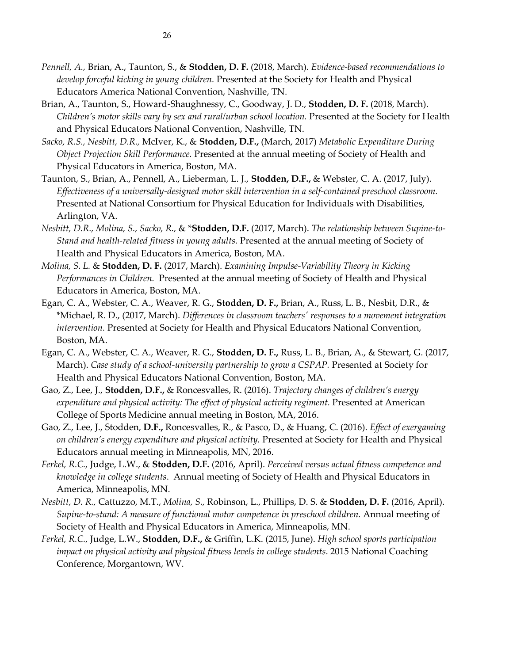- *Pennell, A.,* Brian, A., Taunton, S., & **Stodden, D. F.** (2018, March). *Evidence-based recommendations to develop forceful kicking in young children.* Presented at the Society for Health and Physical Educators America National Convention, Nashville, TN.
- Brian, A., Taunton, S., Howard-Shaughnessy, C., Goodway, J. D., **Stodden, D. F.** (2018, March). *Children's motor skills vary by sex and rural/urban school location.* Presented at the Society for Health and Physical Educators National Convention, Nashville, TN.
- *Sacko, R.S., Nesbitt, D.R.,* McIver, K., & **Stodden, D.F.,** (March, 2017) *Metabolic Expenditure During Object Projection Skill Performance.* Presented at the annual meeting of Society of Health and Physical Educators in America, Boston, MA.
- Taunton, S., Brian, A., Pennell, A., Lieberman, L. J., **Stodden, D.F.,** & Webster, C. A. (2017, July). *Effectiveness of a universally-designed motor skill intervention in a self-contained preschool classroom.* Presented at National Consortium for Physical Education for Individuals with Disabilities, Arlington, VA.
- *Nesbitt, D.R., Molina, S., Sacko, R.,* & \***Stodden, D.F.** (2017, March). *The relationship between Supine-to-Stand and health-related fitness in young adults.* Presented at the annual meeting of Society of Health and Physical Educators in America, Boston, MA.
- *Molina, S. L.* & **Stodden, D. F.** (2017, March). *Examining Impulse-Variability Theory in Kicking Performances in Children.* Presented at the annual meeting of Society of Health and Physical Educators in America, Boston, MA.
- Egan, C. A., Webster, C. A., Weaver, R. G., **Stodden, D. F.,** Brian, A., Russ, L. B., Nesbit, D.R., & \*Michael, R. D., (2017, March). *Differences in classroom teachers' responses to a movement integration intervention.* Presented at Society for Health and Physical Educators National Convention, Boston, MA.
- Egan, C. A., Webster, C. A., Weaver, R. G., **Stodden, D. F.,** Russ, L. B., Brian, A., & Stewart, G. (2017, March). *Case study of a school-university partnership to grow a CSPAP.* Presented at Society for Health and Physical Educators National Convention, Boston, MA.
- Gao, Z., Lee, J., **Stodden, D.F.,** & Roncesvalles, R. (2016). *Trajectory changes of children's energy expenditure and physical activity: The effect of physical activity regiment.* Presented at American College of Sports Medicine annual meeting in Boston, MA, 2016.
- Gao, Z., Lee, J., Stodden, **D.F.,** Roncesvalles, R., & Pasco, D., & Huang, C. (2016). *Effect of exergaming on children's energy expenditure and physical activity.* Presented at Society for Health and Physical Educators annual meeting in Minneapolis, MN, 2016.
- *Ferkel, R.C.,* Judge, L.W., & **Stodden, D.F.** (2016, April). *Perceived versus actual fitness competence and knowledge in college students*. Annual meeting of Society of Health and Physical Educators in America, Minneapolis, MN.
- *Nesbitt, D. R.,* Cattuzzo, M.T., *Molina, S.,* Robinson, L., Phillips, D. S. & **Stodden, D. F.** (2016, April). *Supine-to-stand: A measure of functional motor competence in preschool children.* Annual meeting of Society of Health and Physical Educators in America, Minneapolis, MN.
- *Ferkel, R.C.,* Judge, L.W., **Stodden, D.F.,** & Griffin, L.K. (2015, June). *High school sports participation impact on physical activity and physical fitness levels in college students*. 2015 National Coaching Conference, Morgantown, WV.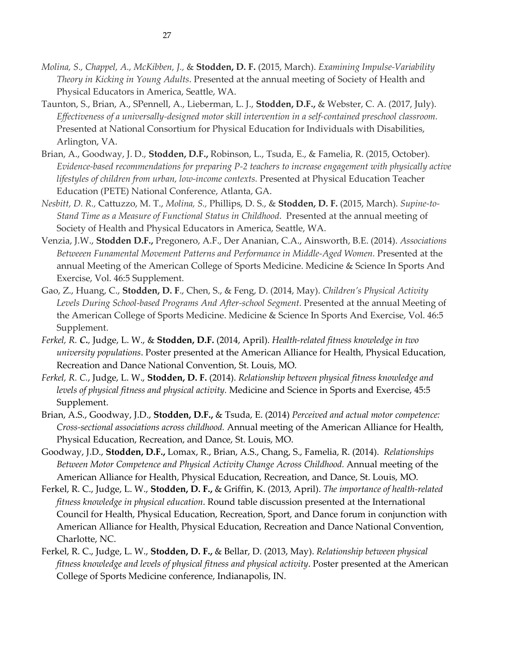- *Molina, S., Chappel, A., McKibben, J.,* & **Stodden, D. F.** (2015, March). *Examining Impulse-Variability Theory in Kicking in Young Adults*. Presented at the annual meeting of Society of Health and Physical Educators in America, Seattle, WA.
- Taunton, S., Brian, A., SPennell, A., Lieberman, L. J., **Stodden, D.F.,** & Webster, C. A. (2017, July). *Effectiveness of a universally-designed motor skill intervention in a self-contained preschool classroom.*  Presented at National Consortium for Physical Education for Individuals with Disabilities, Arlington, VA.
- Brian, A., Goodway, J. D., **Stodden, D.F.,** Robinson, L., Tsuda, E., & Famelia, R. (2015, October). *Evidence-based recommendations for preparing P-2 teachers to increase engagement with physically active lifestyles of children from urban, low-income contexts.* Presented at Physical Education Teacher Education (PETE) National Conference, Atlanta, GA.
- *Nesbitt, D. R.,* Cattuzzo, M. T., *Molina, S.,* Phillips, D. S., & **Stodden, D. F.** (2015, March). *Supine-to-Stand Time as a Measure of Functional Status in Childhood*. Presented at the annual meeting of Society of Health and Physical Educators in America, Seattle, WA.
- Venzia, J.W., **Stodden D.F.,** Pregonero, A.F., Der Ananian, C.A., Ainsworth, B.E. (2014). *Associations Betweeen Funamental Movement Patterns and Performance in Middle-Aged Women.* Presented at the annual Meeting of the American College of Sports Medicine. Medicine & Science In Sports And Exercise, Vol. 46:5 Supplement.
- Gao, Z., Huang, C., **Stodden, D. F**., Chen, S., & Feng, D. (2014, May). *Children's Physical Activity Levels During School-based Programs And After-school Segment.* Presented at the annual Meeting of the American College of Sports Medicine. Medicine & Science In Sports And Exercise, Vol. 46:5 Supplement.
- *Ferkel, R. C.,* Judge, L. W., & **Stodden, D.F.** (2014, April). *Health-related fitness knowledge in two university populations*. Poster presented at the American Alliance for Health, Physical Education, Recreation and Dance National Convention, St. Louis, MO.
- *Ferkel, R. C.*, Judge, L. W., **Stodden, D. F.** (2014). *Relationship between physical fitness knowledge and levels of physical fitness and physical activity.* Medicine and Science in Sports and Exercise, 45:5 Supplement.
- Brian, A.S., Goodway, J.D., **Stodden, D.F.,** & Tsuda, E. (2014) *Perceived and actual motor competence: Cross-sectional associations across childhood.* Annual meeting of the American Alliance for Health, Physical Education, Recreation, and Dance, St. Louis, MO.
- Goodway, J.D., **Stodden, D.F.,** Lomax, R., Brian, A.S., Chang, S., Famelia, R. (2014). *[Relationships](http://aahperd.confex.com/aahperd/2014/webprogram/Paper19942.html)  [Between Motor Competence and Physical Activity Change Across](http://aahperd.confex.com/aahperd/2014/webprogram/Paper19942.html) Childhood.* Annual meeting of the American Alliance for Health, Physical Education, Recreation, and Dance, St. Louis, MO.
- Ferkel, R. C., Judge, L. W., **Stodden, D. F.,** & Griffin, K. (2013, April). *The importance of health-related fitness knowledge in physical education*. Round table discussion presented at the International Council for Health, Physical Education, Recreation, Sport, and Dance forum in conjunction with American Alliance for Health, Physical Education, Recreation and Dance National Convention, Charlotte, NC.
- Ferkel, R. C., Judge, L. W., **Stodden, D. F.,** & Bellar, D. (2013, May). *Relationship between physical fitness knowledge and levels of physical fitness and physical activity*. Poster presented at the American College of Sports Medicine conference, Indianapolis, IN.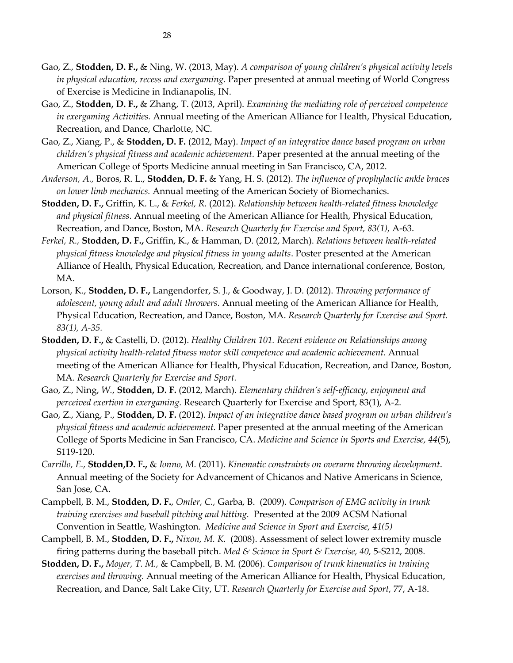- Gao, Z., **Stodden, D. F.,** & Ning, W. (2013, May). *A comparison of young children's physical activity levels in physical education, recess and exergaming.* Paper presented at annual meeting of World Congress of Exercise is Medicine in Indianapolis, IN.
- Gao, Z., **Stodden, D. F.,** & Zhang, T. (2013, April). *Examining the mediating role of perceived competence in exergaming Activities.* Annual meeting of the American Alliance for Health, Physical Education, Recreation, and Dance, Charlotte, NC.
- Gao, Z., Xiang, P., & **Stodden, D. F.** (2012, May). *Impact of an integrative dance based program on urban children's physical fitness and academic achievement.* Paper presented at the annual meeting of the American College of Sports Medicine annual meeting in San Francisco, CA, 2012.
- *Anderson, A.,* Boros, R. L., **Stodden, D. F.** & Yang, H. S. (2012). *The influence of prophylactic ankle braces on lower limb mechanics.* Annual meeting of the American Society of Biomechanics.
- **Stodden, D. F.,** Griffin, K. L., & *Ferkel, R.* (2012). *Relationship between health-related fitness knowledge and physical fitness.* Annual meeting of the American Alliance for Health, Physical Education, Recreation, and Dance, Boston, MA. *Research Quarterly for Exercise and Sport, 83(1),* A-63.
- *Ferkel, R.,* **Stodden, D. F.,** Griffin, K., & Hamman, D. (2012, March). *Relations between health-related physical fitness knowledge and physical fitness in young adults*. Poster presented at the American Alliance of Health, Physical Education, Recreation, and Dance international conference, Boston, MA.
- Lorson, K., **Stodden, D. F.,** Langendorfer, S. J., & Goodway, J. D. (2012). *Throwing performance of adolescent, young adult and adult throwers.* Annual meeting of the American Alliance for Health, Physical Education, Recreation, and Dance, Boston, MA. *Research Quarterly for Exercise and Sport. 83(1), A-35.*
- **Stodden, D. F.,** & Castelli, D. (2012). *Healthy Children 101. Recent evidence on Relationships among physical activity health-related fitness motor skill competence and academic achievement.* Annual meeting of the American Alliance for Health, Physical Education, Recreation, and Dance, Boston, MA. *Research Quarterly for Exercise and Sport.*
- Gao, Z., Ning, *W.*, **Stodden, D. F.** (2012, March). *Elementary children's self-efficacy, enjoyment and perceived exertion in exergaming.* Research Quarterly for Exercise and Sport, 83(1), A-2.
- Gao, Z., Xiang, P., **Stodden, D. F.** (2012). *Impact of an integrative dance based program on urban children's physical fitness and academic achievement.* Paper presented at the annual meeting of the American College of Sports Medicine in San Francisco, CA. *Medicine and Science in Sports and Exercise, 44*(5), S119-120.
- *Carrillo, E.,* **Stodden,D. F.,** & *Ionno, M.* (2011). *Kinematic constraints on overarm throwing development*. Annual meeting of the Society for Advancement of Chicanos and Native Americans in Science, San Jose, CA.
- Campbell, B. M., **Stodden, D. F.**, *Omler, C.,* Garba, B. (2009). *Comparison of EMG activity in trunk training exercises and baseball pitching and hitting.* Presented at the 2009 ACSM National Convention in Seattle, Washington. *Medicine and Science in Sport and Exercise, 41(5)*
- Campbell, B. M., **Stodden, D. F.,** *Nixon, M. K.* (2008). Assessment of select lower extremity muscle firing patterns during the baseball pitch. *Med & Science in Sport & Exercise, 40,* 5-S212, 2008.
- **Stodden, D. F.,** *Moyer, T. M.,* & Campbell, B. M. (2006). *Comparison of trunk kinematics in training exercises and throwing.* Annual meeting of the American Alliance for Health, Physical Education, Recreation, and Dance, Salt Lake City, UT. *Research Quarterly for Exercise and Sport,* 77, A-18.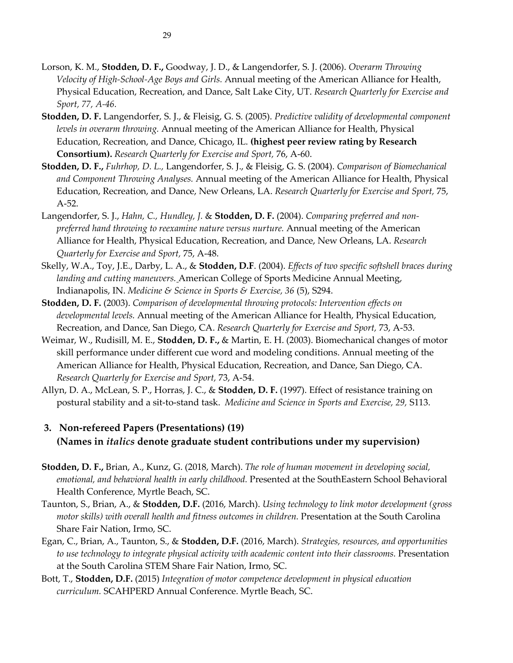- Lorson, K. M., **Stodden, D. F.,** Goodway, J. D., & Langendorfer, S. J. (2006). *Overarm Throwing Velocity of High-School-Age Boys and Girls.* Annual meeting of the American Alliance for Health, Physical Education, Recreation, and Dance, Salt Lake City, UT. *Research Quarterly for Exercise and Sport, 77, A-46.*
- **Stodden, D. F.** Langendorfer, S. J., & Fleisig, G. S. (2005). *Predictive validity of developmental component levels in overarm throwing.* Annual meeting of the American Alliance for Health, Physical Education, Recreation, and Dance, Chicago, IL. **(highest peer review rating by Research Consortium).** *Research Quarterly for Exercise and Sport,* 76, A-60.
- **Stodden, D. F.,** *Fuhrhop, D. L.,* Langendorfer, S. J., & Fleisig, G. S. (2004). *Comparison of Biomechanical and Component Throwing Analyses.* Annual meeting of the American Alliance for Health, Physical Education, Recreation, and Dance, New Orleans, LA. *Research Quarterly for Exercise and Sport,* 75, A-52.
- Langendorfer, S. J., *Hahn, C., Hundley, J.* & **Stodden, D. F.** (2004). *Comparing preferred and nonpreferred hand throwing to reexamine nature versus nurture.* Annual meeting of the American Alliance for Health, Physical Education, Recreation, and Dance, New Orleans, LA. *Research Quarterly for Exercise and Sport,* 75, A-48.
- Skelly, W.A., Toy, J.E., Darby, L. A., & **Stodden, D.F**. (2004). *Effects of two specific softshell braces during landing and cutting maneuvers.* American College of Sports Medicine Annual Meeting, Indianapolis, IN. *Medicine & Science in Sports & Exercise, 36* (5), S294.
- **Stodden, D. F.** (2003). *Comparison of developmental throwing protocols: Intervention effects on developmental levels.* Annual meeting of the American Alliance for Health, Physical Education, Recreation, and Dance, San Diego, CA. *Research Quarterly for Exercise and Sport,* 73, A-53.
- Weimar, W., Rudisill, M. E., **Stodden, D. F.,** & Martin, E. H. (2003). Biomechanical changes of motor skill performance under different cue word and modeling conditions. Annual meeting of the American Alliance for Health, Physical Education, Recreation, and Dance, San Diego, CA. *Research Quarterly for Exercise and Sport,* 73, A-54.
- Allyn, D. A., McLean, S. P., Horras, J. C., & **Stodden, D. F.** (1997). Effect of resistance training on postural stability and a sit-to-stand task. *Medicine and Science in Sports and Exercise, 29,* S113.

# **3. Non-refereed Papers (Presentations) (19) (Names in** *italics* **denote graduate student contributions under my supervision)**

- **Stodden, D. F.,** Brian, A., Kunz, G. (2018, March). *The role of human movement in developing social, emotional, and behavioral health in early childhood.* Presented at the SouthEastern School Behavioral Health Conference, Myrtle Beach, SC.
- Taunton, S., Brian, A., & **Stodden, D.F.** (2016, March). *Using technology to link motor development (gross motor skills) with overall health and fitness outcomes in children.* Presentation at the South Carolina Share Fair Nation, Irmo, SC.
- Egan, C., Brian, A., Taunton, S., & **Stodden, D.F.** (2016, March). *Strategies, resources, and opportunities to use technology to integrate physical activity with academic content into their classrooms.* Presentation at the South Carolina STEM Share Fair Nation, Irmo, SC.
- Bott, T., **Stodden, D.F.** (2015) *Integration of motor competence development in physical education curriculum.* SCAHPERD Annual Conference. Myrtle Beach, SC.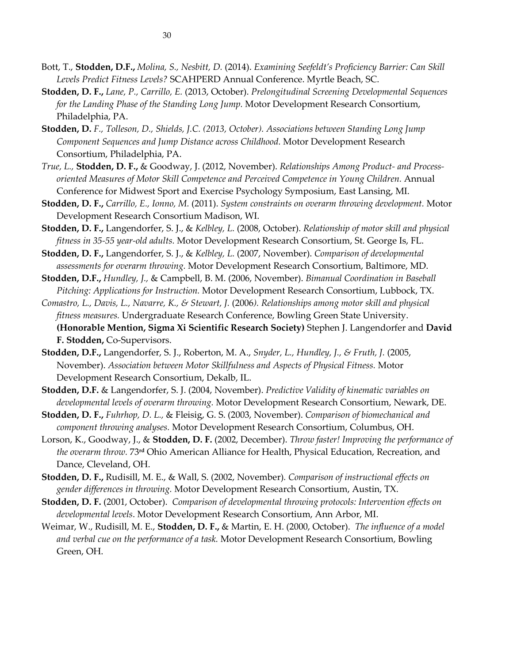- Bott, T., **Stodden, D.F.,** *Molina, S., Nesbitt, D.* (2014). *Examining Seefeldt's Proficiency Barrier: Can Skill Levels Predict Fitness Levels?* SCAHPERD Annual Conference. Myrtle Beach, SC.
- **Stodden, D. F.,** *Lane, P., Carrillo, E.* (2013, October). *Prelongitudinal Screening Developmental Sequences for the Landing Phase of the Standing Long Jump.* Motor Development Research Consortium, Philadelphia, PA.
- **Stodden, D.** *F., Tolleson, D., Shields, J.C. (2013, October). Associations between Standing Long Jump Component Sequences and Jump Distance across Childhood.* Motor Development Research Consortium, Philadelphia, PA.
- *True, L.,* **Stodden, D. F.,** & Goodway, J. (2012, November). *Relationships Among Product- and Processoriented Measures of Motor Skill Competence and Perceived Competence in Young Children.* Annual Conference for Midwest Sport and Exercise Psychology Symposium, East Lansing, MI.
- **Stodden, D. F.,** *Carrillo, E., Ionno, M.* (2011). *System constraints on overarm throwing development.* Motor Development Research Consortium Madison, WI.
- **Stodden, D. F.,** Langendorfer, S. J., & *Kelbley, L.* (2008, October). *Relationship of motor skill and physical fitness in 35-55 year-old adults.* Motor Development Research Consortium, St. George Is, FL.
- **Stodden, D. F.,** Langendorfer, S. J., & *Kelbley, L.* (2007, November). *Comparison of developmental assessments for overarm throwing.* Motor Development Research Consortium, Baltimore, MD.
- **Stodden, D.F.,** *Hundley, J.,* & Campbell, B. M. (2006, November). *Bimanual Coordination in Baseball Pitching: Applications for Instruction.* Motor Development Research Consortium, Lubbock, TX.
- *Comastro, L., Davis, L., Navarre, K., & Stewart, J.* (2006*). Relationships among motor skill and physical fitness measures.* Undergraduate Research Conference, Bowling Green State University. **(Honorable Mention, Sigma Xi Scientific Research Society)** Stephen J. Langendorfer and **David F. Stodden,** Co-Supervisors.
- **Stodden, D.F.,** Langendorfer, S. J., Roberton, M. A., *Snyder, L., Hundley, J., & Fruth, J.* (2005, November). *Association between Motor Skillfulness and Aspects of Physical Fitness.* Motor Development Research Consortium, Dekalb, IL.
- **Stodden, D.F.** & Langendorfer, S. J. (2004, November). *Predictive Validity of kinematic variables on developmental levels of overarm throwing.* Motor Development Research Consortium, Newark, DE.
- **Stodden, D. F.,** *Fuhrhop, D. L.,* & Fleisig, G. S. (2003, November). *Comparison of biomechanical and component throwing analyses.* Motor Development Research Consortium, Columbus, OH.
- Lorson, K., Goodway, J., & **Stodden, D. F.** (2002, December). *Throw faster! Improving the performance of the overarm throw.* 73**rd** Ohio American Alliance for Health, Physical Education, Recreation, and Dance, Cleveland, OH.
- **Stodden, D. F.,** Rudisill, M. E., & Wall, S. (2002, November)*. Comparison of instructional effects on gender differences in throwing.* Motor Development Research Consortium, Austin, TX.
- **Stodden, D. F.** (2001, October). *Comparison of developmental throwing protocols: Intervention effects on developmental levels*. Motor Development Research Consortium, Ann Arbor, MI.
- Weimar, W., Rudisill, M. E., **Stodden, D. F.,** & Martin, E. H. (2000, October). *The influence of a model and verbal cue on the performance of a task.* Motor Development Research Consortium, Bowling Green, OH.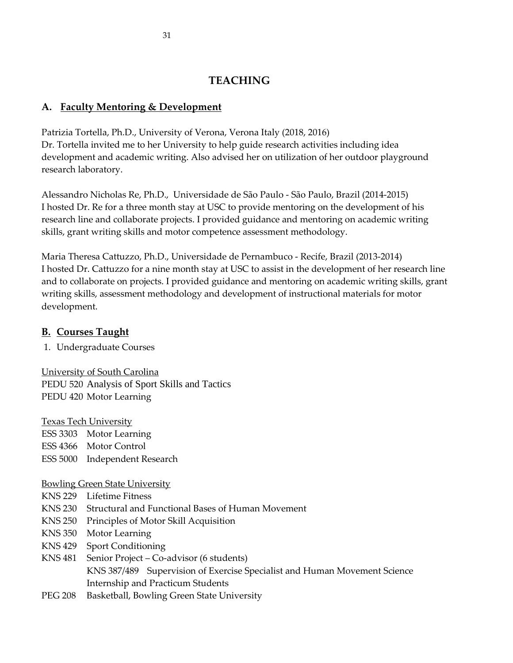# **TEACHING**

# **A. Faculty Mentoring & Development**

Patrizia Tortella, Ph.D., University of Verona, Verona Italy (2018, 2016) Dr. Tortella invited me to her University to help guide research activities including idea development and academic writing. Also advised her on utilization of her outdoor playground research laboratory.

Alessandro Nicholas Re, Ph.D., Universidade de São Paulo - São Paulo, Brazil (2014-2015) I hosted Dr. Re for a three month stay at USC to provide mentoring on the development of his research line and collaborate projects. I provided guidance and mentoring on academic writing skills, grant writing skills and motor competence assessment methodology.

Maria Theresa Cattuzzo, Ph.D., Universidade de Pernambuco - Recife, Brazil (2013-2014) I hosted Dr. Cattuzzo for a nine month stay at USC to assist in the development of her research line and to collaborate on projects. I provided guidance and mentoring on academic writing skills, grant writing skills, assessment methodology and development of instructional materials for motor development.

# **B. Courses Taught**

1. Undergraduate Courses

University of South Carolina PEDU 520 Analysis of Sport Skills and Tactics PEDU 420 Motor Learning

Texas Tech University

ESS 3303 Motor Learning ESS 4366 Motor Control ESS 5000 Independent Research

### Bowling Green State University

- KNS 229 Lifetime Fitness
- KNS 230 Structural and Functional Bases of Human Movement
- KNS 250 Principles of Motor Skill Acquisition
- KNS 350 Motor Learning
- KNS 429 Sport Conditioning
- KNS 481 Senior Project Co-advisor (6 students) KNS 387/489 Supervision of Exercise Specialist and Human Movement Science Internship and Practicum Students
- PEG 208 Basketball, Bowling Green State University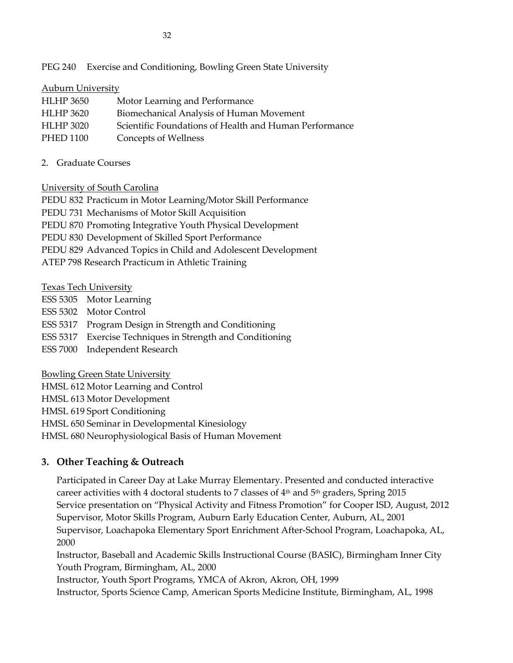PEG 240 Exercise and Conditioning, Bowling Green State University

### Auburn University

| <b>HLHP</b> 3650 | Motor Learning and Performance                         |
|------------------|--------------------------------------------------------|
| HLHP 3620        | Biomechanical Analysis of Human Movement               |
| <b>HLHP 3020</b> | Scientific Foundations of Health and Human Performance |
| PHED 1100        | Concepts of Wellness                                   |

2. Graduate Courses

### University of South Carolina

PEDU 832 Practicum in Motor Learning/Motor Skill Performance PEDU 731 Mechanisms of Motor Skill Acquisition PEDU 870 Promoting Integrative Youth Physical Development PEDU 830 Development of Skilled Sport Performance PEDU 829 Advanced Topics in Child and Adolescent Development ATEP 798 Research Practicum in Athletic Training

Texas Tech University

- ESS 5305 Motor Learning
- ESS 5302 Motor Control

ESS 5317 Program Design in Strength and Conditioning

ESS 5317 Exercise Techniques in Strength and Conditioning

ESS 7000 Independent Research

Bowling Green State University

HMSL 612 Motor Learning and Control

HMSL 613 Motor Development

HMSL 619 Sport Conditioning

HMSL 650 Seminar in Developmental Kinesiology

HMSL 680 Neurophysiological Basis of Human Movement

# **3. Other Teaching & Outreach**

Participated in Career Day at Lake Murray Elementary. Presented and conducted interactive career activities with 4 doctoral students to 7 classes of  $4<sup>th</sup>$  and  $5<sup>th</sup>$  graders, Spring 2015 Service presentation on "Physical Activity and Fitness Promotion" for Cooper ISD, August, 2012 Supervisor, Motor Skills Program, Auburn Early Education Center, Auburn, AL, 2001 Supervisor, Loachapoka Elementary Sport Enrichment After-School Program, Loachapoka, AL, 2000

Instructor, Baseball and Academic Skills Instructional Course (BASIC), Birmingham Inner City Youth Program, Birmingham, AL, 2000

Instructor, Youth Sport Programs, YMCA of Akron, Akron, OH, 1999

Instructor, Sports Science Camp, American Sports Medicine Institute, Birmingham, AL, 1998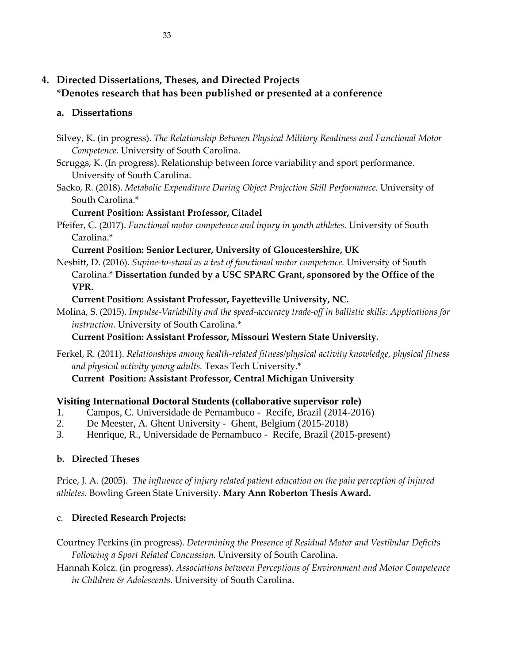# **4. Directed Dissertations, Theses, and Directed Projects \*Denotes research that has been published or presented at a conference**

### **a. Dissertations**

- Silvey, K. (in progress). *The Relationship Between Physical Military Readiness and Functional Motor Competence.* University of South Carolina.
- Scruggs, K. (In progress). Relationship between force variability and sport performance. University of South Carolina.
- Sacko, R. (2018). *Metabolic Expenditure During Object Projection Skill Performance.* University of South Carolina.\*

### **Current Position: Assistant Professor, Citadel**

Pfeifer, C. (2017). *Functional motor competence and injury in youth athletes.* University of South Carolina.\*

## **Current Position: Senior Lecturer, University of Gloucestershire, UK**

Nesbitt, D. (2016). *Supine-to-stand as a test of functional motor competence.* University of South Carolina.\* **Dissertation funded by a USC SPARC Grant, sponsored by the Office of the VPR.**

# **Current Position: Assistant Professor, Fayetteville University, NC.**

Molina, S. (2015). *Impulse-Variability and the speed-accuracy trade-off in ballistic skills: Applications for instruction.* University of South Carolina.\*

### **Current Position: Assistant Professor, Missouri Western State University.**

Ferkel, R. (2011). *Relationships among health-related fitness/physical activity knowledge, physical fitness and physical activity young adults.* Texas Tech University.\*

**Current Position: Assistant Professor, Central Michigan University**

# **Visiting International Doctoral Students (collaborative supervisor role)**

- 1. Campos, C. Universidade de Pernambuco Recife, Brazil (2014-2016)
- 2. De Meester, A. Ghent University Ghent, Belgium (2015-2018)
- 3. Henrique, R., Universidade de Pernambuco Recife, Brazil (2015-present)

# **b. Directed Theses**

Price, J. A. (2005). *The influence of injury related patient education on the pain perception of injured athletes.* Bowling Green State University. **Mary Ann Roberton Thesis Award.**

# c. **Directed Research Projects:**

Courtney Perkins (in progress). *Determining the Presence of Residual Motor and Vestibular Deficits Following a Sport Related Concussion.* University of South Carolina.

Hannah Kolcz. (in progress). *Associations between Perceptions of Environment and Motor Competence in Children & Adolescents.* University of South Carolina.

33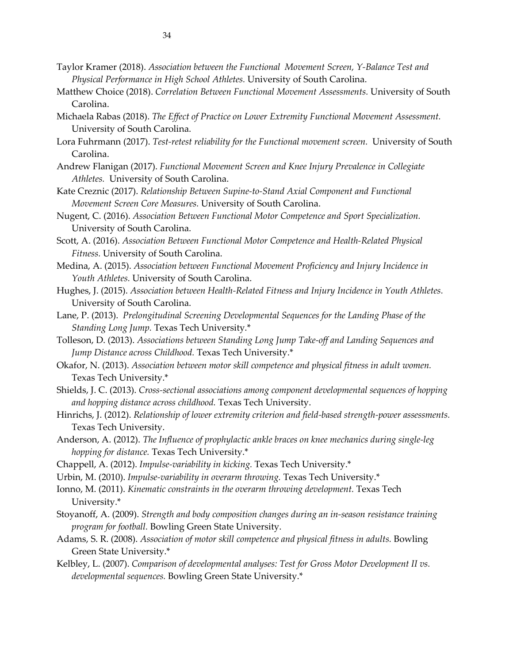- Taylor Kramer (2018). *Association between the Functional Movement Screen, Y-Balance Test and Physical Performance in High School Athletes.* University of South Carolina.
- Matthew Choice (2018). *Correlation Between Functional Movement Assessments.* University of South Carolina.
- Michaela Rabas (2018). *The Effect of Practice on Lower Extremity Functional Movement Assessment.* University of South Carolina.
- Lora Fuhrmann (2017). *Test-retest reliability for the Functional movement screen.* University of South Carolina.
- Andrew Flanigan (2017). *Functional Movement Screen and Knee Injury Prevalence in Collegiate Athletes.* University of South Carolina.
- Kate Creznic (2017). *Relationship Between Supine-to-Stand Axial Component and Functional Movement Screen Core Measures.* University of South Carolina.
- Nugent, C. (2016). *Association Between Functional Motor Competence and Sport Specialization.* University of South Carolina.
- Scott, A. (2016). *Association Between Functional Motor Competence and Health-Related Physical Fitness.* University of South Carolina.
- Medina, A. (2015). *Association between Functional Movement Proficiency and Injury Incidence in Youth Athletes.* University of South Carolina.
- Hughes, J. (2015). *Association between Health-Related Fitness and Injury Incidence in Youth Athletes.* University of South Carolina.
- Lane, P. (2013). *Prelongitudinal Screening Developmental Sequences for the Landing Phase of the Standing Long Jump.* Texas Tech University.\*
- Tolleson, D. (2013). *Associations between Standing Long Jump Take-off and Landing Sequences and Jump Distance across Childhood.* Texas Tech University.\*
- Okafor, N. (2013). *Association between motor skill competence and physical fitness in adult women.* Texas Tech University.\*
- Shields, J. C. (2013). *Cross-sectional associations among component developmental sequences of hopping and hopping distance across childhood.* Texas Tech University.
- Hinrichs, J. (2012). *Relationship of lower extremity criterion and field-based strength-power assessments.* Texas Tech University.
- Anderson, A. (2012). *The Influence of prophylactic ankle braces on knee mechanics during single-leg hopping for distance.* Texas Tech University.\*
- Chappell, A. (2012). *Impulse-variability in kicking.* Texas Tech University.\*
- Urbin, M. (2010). *Impulse-variability in overarm throwing.* Texas Tech University.\*
- Ionno, M. (2011). *Kinematic constraints in the overarm throwing development.* Texas Tech University.\*
- Stoyanoff, A. (2009). *Strength and body composition changes during an in-season resistance training program for football.* Bowling Green State University.
- Adams, S. R. (2008). *Association of motor skill competence and physical fitness in adults.* Bowling Green State University.\*
- Kelbley, L. (2007). *Comparison of developmental analyses: Test for Gross Motor Development II vs. developmental sequences.* Bowling Green State University.\*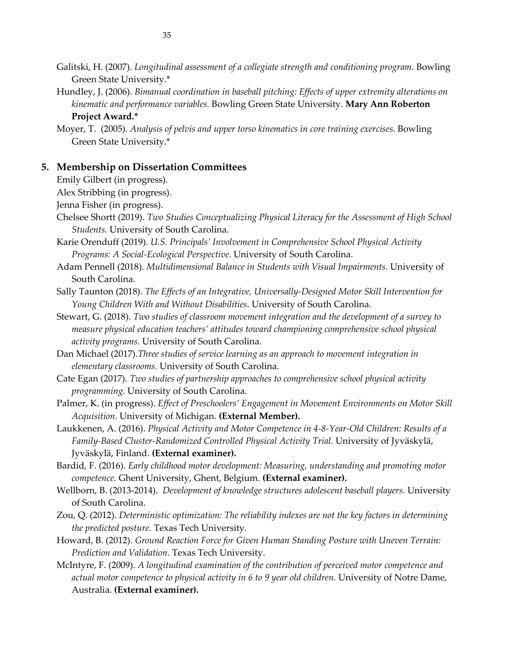- Galitski, H. (2007). *Longitudinal assessment of a collegiate strength and conditioning program.* Bowling Green State University.\*
- Hundley, J. (2006). *Bimanual coordination in baseball pitching: Effects of upper extremity alterations on kinematic and performance variables.* Bowling Green State University. **Mary Ann Roberton**

#### **Project Award.\***

Moyer, T. (2005). *Analysis of pelvis and upper torso kinematics in core training exercises.* Bowling Green State University.\*

#### **5. Membership on Dissertation Committees**

Emily Gilbert (in progress).

Alex Stribbing (in progress).

Jenna Fisher (in progress).

- Chelsee Shortt (2019). *Two Studies Conceptualizing Physical Literacy for the Assessment of High School Students.* University of South Carolina.
- Karie Orenduff (2019). *U.S. Principals' Involvement in Comprehensive School Physical Activity Programs: A Social-Ecological Perspective.* University of South Carolina.
- Adam Pennell (2018). *Multidimensional Balance in Students with Visual Impairments.* University of South Carolina.
- Sally Taunton (2018). *The Effects of an Integrative, Universally-Designed Motor Skill Intervention for Young Children With and Without Disabilities.* University of South Carolina.
- Stewart, G. (2018). *Two studies of classroom movement integration and the development of a survey to measure physical education teachers' attitudes toward championing comprehensive school physical activity programs.* University of South Carolina.
- Dan Michael (2017).*Three studies of service learning as an approach to movement integration in elementary classrooms.* University of South Carolina.
- Cate Egan (2017). *Two studies of partnership approaches to comprehensive school physical activity programming.* University of South Carolina.
- Palmer, K. (in progress). *Effect of Preschoolers' Engagement in Movement Environments on Motor Skill Acquisition.* University of Michigan. **(External Member).**
- Laukkenen, A. (2016). *Physical Activity and Motor Competence in 4-8-Year-Old Children: Results of a Family-Based Cluster-Randomized Controlled Physical Activity Trial.* University of Jyväskylä, Jyväskylä, Finland. **(External examiner).**
- Bardid, F. (2016). *Early childhood motor development: Measuring, understanding and promoting motor competence.* Ghent University, Ghent, Belgium. **(External examiner).**
- Wellborn, B. (2013-2014). *Development of knowledge structures adolescent baseball players.* University of South Carolina.
- Zou, Q. (2012). *Deterministic optimization: The reliability indexes are not the key factors in determining the predicted posture.* Texas Tech University.
- Howard, B. (2012). *Ground Reaction Force for Given Human Standing Posture with Uneven Terrain: Prediction and Validation.* Texas Tech University.
- McIntyre, F. (2009). *A longitudinal examination of the contribution of perceived motor competence and actual motor competence to physical activity in 6 to 9 year old children.* University of Notre Dame, Australia. **(External examiner).**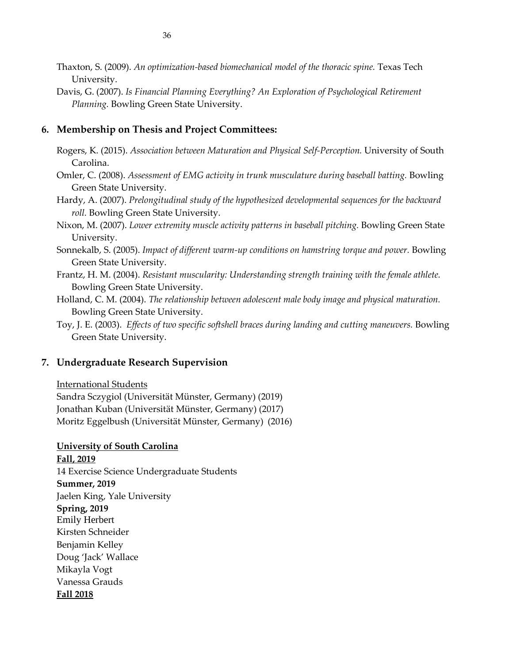- Thaxton, S. (2009). *An optimization-based biomechanical model of the thoracic spine.* Texas Tech University.
- Davis, G. (2007). *Is Financial Planning Everything? An Exploration of Psychological Retirement Planning.* Bowling Green State University.

### **6. Membership on Thesis and Project Committees:**

- Rogers, K. (2015). *Association between Maturation and Physical Self-Perception.* University of South Carolina.
- Omler, C. (2008). *Assessment of EMG activity in trunk musculature during baseball batting.* Bowling Green State University.
- Hardy, A. (2007). *Prelongitudinal study of the hypothesized developmental sequences for the backward roll.* Bowling Green State University.
- Nixon, M. (2007). *Lower extremity muscle activity patterns in baseball pitching.* Bowling Green State University.
- Sonnekalb, S. (2005). *Impact of different warm-up conditions on hamstring torque and power.* Bowling Green State University.
- Frantz, H. M. (2004). *Resistant muscularity: Understanding strength training with the female athlete.* Bowling Green State University.
- Holland, C. M. (2004). *The relationship between adolescent male body image and physical maturation.* Bowling Green State University.
- Toy, J. E. (2003). *Effects of two specific softshell braces during landing and cutting maneuvers.* Bowling Green State University.

#### **7. Undergraduate Research Supervision**

#### International Students

Sandra Sczygiol (Universität Münster, Germany) (2019) Jonathan Kuban (Universität Münster, Germany) (2017) Moritz Eggelbush (Universität Münster, Germany) (2016)

**University of South Carolina Fall, 2019** 14 Exercise Science Undergraduate Students **Summer, 2019** Jaelen King, Yale University **Spring, 2019** Emily Herbert Kirsten Schneider Benjamin Kelley Doug 'Jack' Wallace Mikayla Vogt Vanessa Grauds **Fall 2018**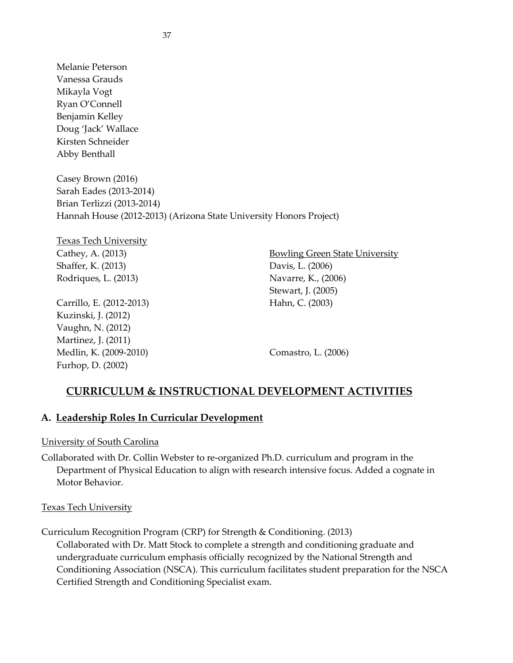Melanie Peterson Vanessa Grauds Mikayla Vogt Ryan O'Connell Benjamin Kelley Doug 'Jack' Wallace Kirsten Schneider Abby Benthall

Casey Brown (2016) Sarah Eades (2013-2014) Brian Terlizzi (2013-2014) Hannah House (2012-2013) (Arizona State University Honors Project)

Texas Tech University Cathey, A. (2013) Shaffer, K. (2013) Rodriques, L. (2013)

Carrillo, E. (2012-2013) Kuzinski, J. (2012) Vaughn, N. (2012) Martinez, J. (2011) Medlin, K. (2009-2010) Furhop, D. (2002)

Bowling Green State University Davis, L. (2006) Navarre, K., (2006) Stewart, J. (2005) Hahn, C. (2003)

Comastro, L. (2006)

# **CURRICULUM & INSTRUCTIONAL DEVELOPMENT ACTIVITIES**

### **A. Leadership Roles In Curricular Development**

### University of South Carolina

Collaborated with Dr. Collin Webster to re-organized Ph.D. curriculum and program in the Department of Physical Education to align with research intensive focus. Added a cognate in Motor Behavior.

### Texas Tech University

Curriculum Recognition Program (CRP) for Strength & Conditioning. (2013)

Collaborated with Dr. Matt Stock to complete a strength and conditioning graduate and undergraduate curriculum emphasis officially recognized by the National Strength and Conditioning Association (NSCA). This curriculum facilitates student preparation for the NSCA Certified Strength and Conditioning Specialist exam.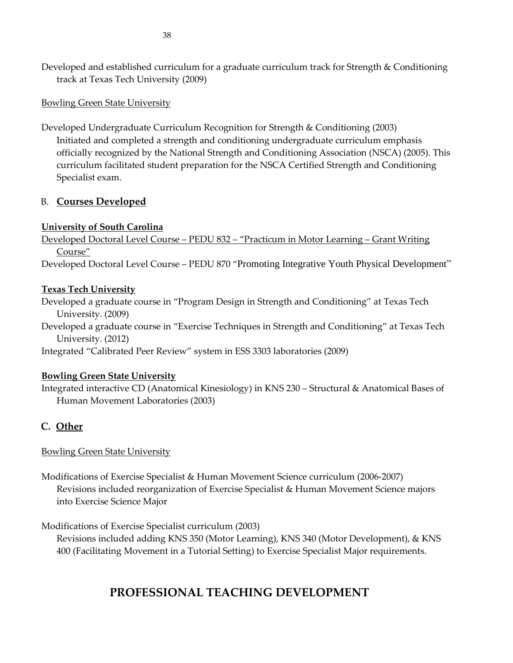Developed and established curriculum for a graduate curriculum track for Strength & Conditioning track at Texas Tech University (2009)

### Bowling Green State University

Developed Undergraduate Curriculum Recognition for Strength & Conditioning (2003) Initiated and completed a strength and conditioning undergraduate curriculum emphasis officially recognized by the National Strength and Conditioning Association (NSCA) (2005). This curriculum facilitated student preparation for the NSCA Certified Strength and Conditioning Specialist exam.

## B. **Courses Developed**

## **University of South Carolina**

Developed Doctoral Level Course – PEDU 832 – "Practicum in Motor Learning – Grant Writing Course"

Developed Doctoral Level Course – PEDU 870 "Promoting Integrative Youth Physical Development"

## **Texas Tech University**

Developed a graduate course in "Program Design in Strength and Conditioning" at Texas Tech University. (2009)

Developed a graduate course in "Exercise Techniques in Strength and Conditioning" at Texas Tech University. (2012)

Integrated "Calibrated Peer Review" system in ESS 3303 laboratories (2009)

# **Bowling Green State University**

Integrated interactive CD (Anatomical Kinesiology) in KNS 230 – Structural & Anatomical Bases of Human Movement Laboratories (2003)

# **C. Other**

# Bowling Green State University

Modifications of Exercise Specialist & Human Movement Science curriculum (2006-2007) Revisions included reorganization of Exercise Specialist & Human Movement Science majors into Exercise Science Major

Modifications of Exercise Specialist curriculum (2003)

Revisions included adding KNS 350 (Motor Learning), KNS 340 (Motor Development), & KNS 400 (Facilitating Movement in a Tutorial Setting) to Exercise Specialist Major requirements.

# **PROFESSIONAL TEACHING DEVELOPMENT**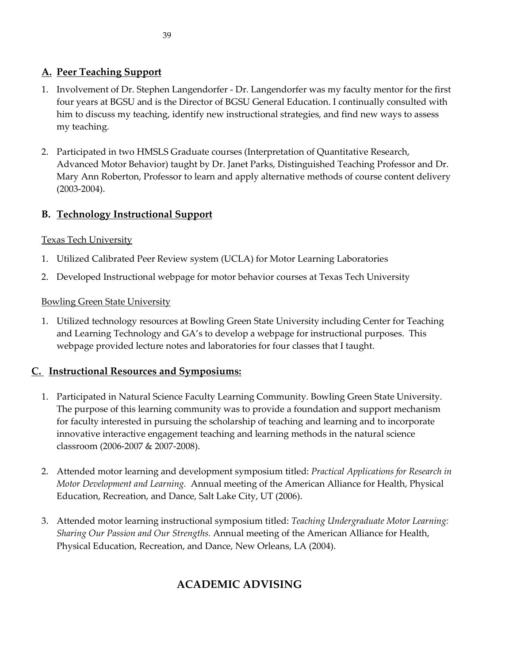# **A. Peer Teaching Support**

- 1. Involvement of Dr. Stephen Langendorfer Dr. Langendorfer was my faculty mentor for the first four years at BGSU and is the Director of BGSU General Education. I continually consulted with him to discuss my teaching, identify new instructional strategies, and find new ways to assess my teaching.
- 2. Participated in two HMSLS Graduate courses (Interpretation of Quantitative Research, Advanced Motor Behavior) taught by Dr. Janet Parks, Distinguished Teaching Professor and Dr. Mary Ann Roberton, Professor to learn and apply alternative methods of course content delivery (2003-2004).

# **B. Technology Instructional Support**

### Texas Tech University

- 1. Utilized Calibrated Peer Review system (UCLA) for Motor Learning Laboratories
- 2. Developed Instructional webpage for motor behavior courses at Texas Tech University

### Bowling Green State University

1. Utilized technology resources at Bowling Green State University including Center for Teaching and Learning Technology and GA's to develop a webpage for instructional purposes. This webpage provided lecture notes and laboratories for four classes that I taught.

# **C. Instructional Resources and Symposiums:**

- 1. Participated in Natural Science Faculty Learning Community. Bowling Green State University. The purpose of this learning community was to provide a foundation and support mechanism for faculty interested in pursuing the scholarship of teaching and learning and to incorporate innovative interactive engagement teaching and learning methods in the natural science classroom (2006-2007 & 2007-2008).
- 2. Attended motor learning and development symposium titled: *Practical Applications for Research in Motor Development and Learning.* Annual meeting of the American Alliance for Health, Physical Education, Recreation, and Dance, Salt Lake City, UT (2006).
- 3. Attended motor learning instructional symposium titled: *Teaching Undergraduate Motor Learning: Sharing Our Passion and Our Strengths.* Annual meeting of the American Alliance for Health, Physical Education, Recreation, and Dance, New Orleans, LA (2004).

# **ACADEMIC ADVISING**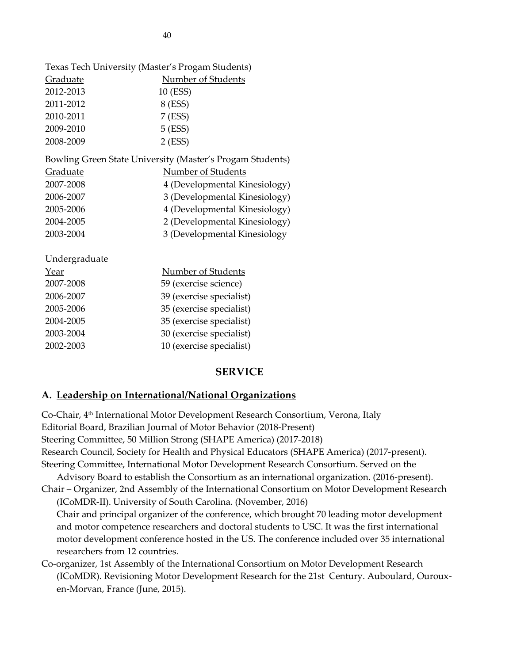|                 | Texas Tech University (Master's Progam Students)          |  |  |
|-----------------|-----------------------------------------------------------|--|--|
| Graduate        | <b>Number of Students</b>                                 |  |  |
| 2012-2013       | 10 (ESS)                                                  |  |  |
| 2011-2012       | 8 (ESS)                                                   |  |  |
| 2010-2011       | 7 (ESS)                                                   |  |  |
| 2009-2010       | $5$ (ESS)                                                 |  |  |
| 2008-2009       | $2$ (ESS)                                                 |  |  |
|                 | Bowling Green State University (Master's Progam Students) |  |  |
| <b>Graduate</b> | <b>Number of Students</b>                                 |  |  |
| 2007-2008       | 4 (Developmental Kinesiology)                             |  |  |
| 2006-2007       | 3 (Developmental Kinesiology)                             |  |  |
| 2005-2006       | 4 (Developmental Kinesiology)                             |  |  |
| 2004-2005       | 2 (Developmental Kinesiology)                             |  |  |
| 2003-2004       | 3 (Developmental Kinesiology                              |  |  |
| Undergraduate   |                                                           |  |  |
| <u>Year</u>     | <b>Number of Students</b>                                 |  |  |
| 2007-2008       | 59 (exercise science)                                     |  |  |
| 2006-2007       | 39 (exercise specialist)                                  |  |  |
| 2005-2006       | 35 (exercise specialist)                                  |  |  |
| 2004-2005       | 35 (exercise specialist)                                  |  |  |
| 2003-2004       | 30 (exercise specialist)                                  |  |  |
| 2002-2003       | 10 (exercise specialist)                                  |  |  |

### **SERVICE**

#### **A. Leadership on International/National Organizations**

Co-Chair, 4th International Motor Development Research Consortium, Verona, Italy Editorial Board, Brazilian Journal of Motor Behavior (2018-Present) Steering Committee, 50 Million Strong (SHAPE America) (2017-2018) Research Council, Society for Health and Physical Educators (SHAPE America) (2017-present). Steering Committee, International Motor Development Research Consortium. Served on the Advisory Board to establish the Consortium as an international organization. (2016-present). Chair – Organizer, 2nd Assembly of the International Consortium on Motor Development Research (ICoMDR-II). University of South Carolina. (November, 2016) Chair and principal organizer of the conference, which brought 70 leading motor development and motor competence researchers and doctoral students to USC. It was the first international motor development conference hosted in the US. The conference included over 35 international researchers from 12 countries.

## Co-organizer, 1st Assembly of the International Consortium on Motor Development Research (ICoMDR). Revisioning Motor Development Research for the 21st Century. Auboulard, Ourouxen-Morvan, France (June, 2015).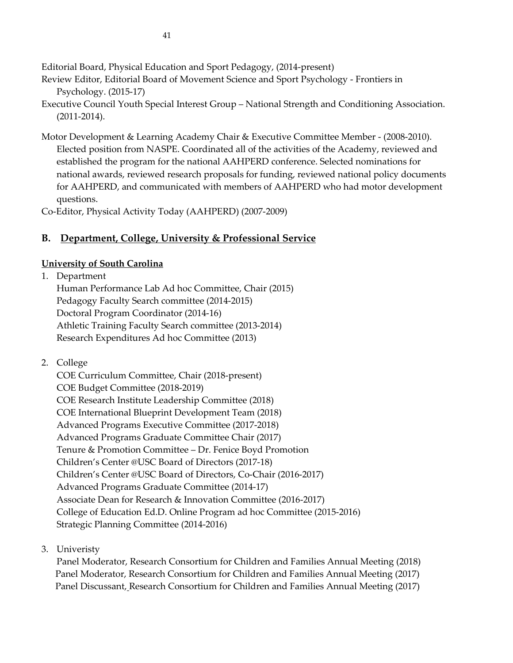Editorial Board, Physical Education and Sport Pedagogy, (2014-present)

- Review Editor, Editorial Board of Movement Science and Sport Psychology Frontiers in Psychology. (2015-17)
- Executive Council Youth Special Interest Group National Strength and Conditioning Association. (2011-2014).
- Motor Development & Learning Academy Chair & Executive Committee Member (2008-2010). Elected position from NASPE. Coordinated all of the activities of the Academy, reviewed and established the program for the national AAHPERD conference. Selected nominations for national awards, reviewed research proposals for funding, reviewed national policy documents for AAHPERD, and communicated with members of AAHPERD who had motor development questions.

Co-Editor, Physical Activity Today (AAHPERD) (2007-2009)

# **B. Department, College, University & Professional Service**

## **University of South Carolina**

1. Department

Human Performance Lab Ad hoc Committee, Chair (2015) Pedagogy Faculty Search committee (2014-2015) Doctoral Program Coordinator (2014-16) Athletic Training Faculty Search committee (2013-2014) Research Expenditures Ad hoc Committee (2013)

2. College

COE Curriculum Committee, Chair (2018-present) COE Budget Committee (2018-2019) COE Research Institute Leadership Committee (2018) COE International Blueprint Development Team (2018) Advanced Programs Executive Committee (2017-2018) Advanced Programs Graduate Committee Chair (2017) Tenure & Promotion Committee – Dr. Fenice Boyd Promotion Children's Center @USC Board of Directors (2017-18) Children's Center @USC Board of Directors, Co-Chair (2016-2017) Advanced Programs Graduate Committee (2014-17) Associate Dean for Research & Innovation Committee (2016-2017) College of Education Ed.D. Online Program ad hoc Committee (2015-2016) Strategic Planning Committee (2014-2016)

3. Univeristy

Panel Moderator, Research Consortium for Children and Families Annual Meeting (2018) Panel Moderator, Research Consortium for Children and Families Annual Meeting (2017) Panel Discussant, Research Consortium for Children and Families Annual Meeting (2017)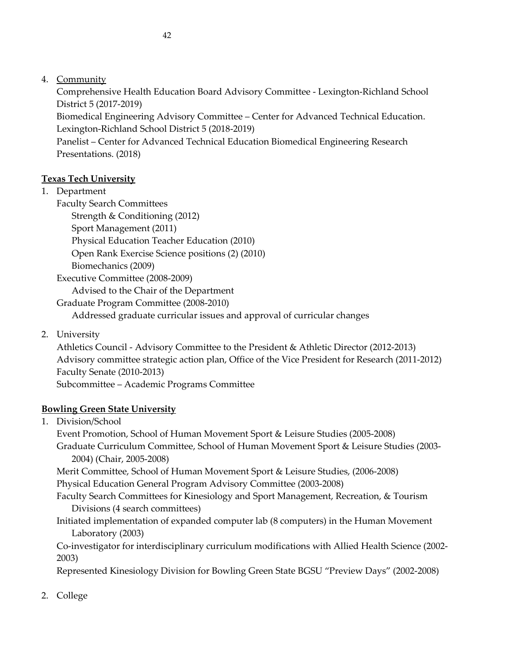Comprehensive Health Education Board Advisory Committee - Lexington-Richland School District 5 (2017-2019)

Biomedical Engineering Advisory Committee – Center for Advanced Technical Education. Lexington-Richland School District 5 (2018-2019)

Panelist – Center for Advanced Technical Education Biomedical Engineering Research Presentations. (2018)

# **Texas Tech University**

1. Department

Faculty Search Committees

Strength & Conditioning (2012)

Sport Management (2011)

Physical Education Teacher Education (2010)

Open Rank Exercise Science positions (2) (2010)

Biomechanics (2009)

Executive Committee (2008-2009)

Advised to the Chair of the Department

Graduate Program Committee (2008-2010)

Addressed graduate curricular issues and approval of curricular changes

2. University

Athletics Council - Advisory Committee to the President & Athletic Director (2012-2013) Advisory committee strategic action plan, Office of the Vice President for Research (2011-2012) Faculty Senate (2010-2013) Subcommittee – Academic Programs Committee

# **Bowling Green State University**

1. Division/School

Event Promotion, School of Human Movement Sport & Leisure Studies (2005-2008)

Graduate Curriculum Committee, School of Human Movement Sport & Leisure Studies (2003- 2004) (Chair, 2005-2008)

Merit Committee, School of Human Movement Sport & Leisure Studies, (2006-2008)

Physical Education General Program Advisory Committee (2003-2008)

Faculty Search Committees for Kinesiology and Sport Management, Recreation, & Tourism Divisions (4 search committees)

Initiated implementation of expanded computer lab (8 computers) in the Human Movement Laboratory (2003)

Co-investigator for interdisciplinary curriculum modifications with Allied Health Science (2002- 2003)

Represented Kinesiology Division for Bowling Green State BGSU "Preview Days" (2002-2008)

2. College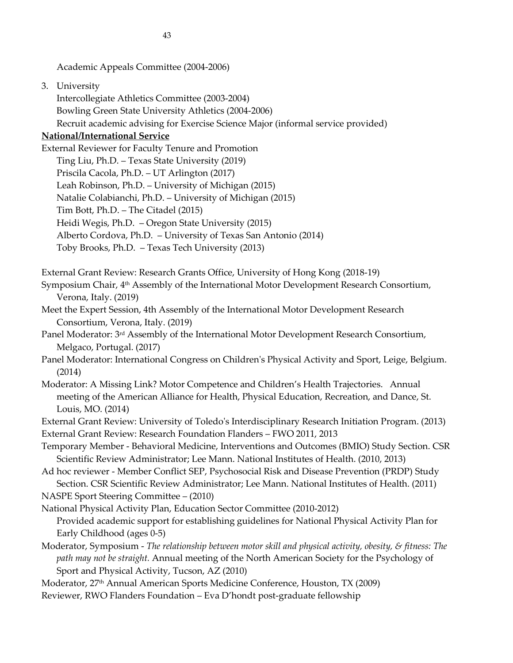Academic Appeals Committee (2004-2006)

3. University

Intercollegiate Athletics Committee (2003-2004) Bowling Green State University Athletics (2004-2006) Recruit academic advising for Exercise Science Major (informal service provided)

### **National/International Service**

External Reviewer for Faculty Tenure and Promotion

Ting Liu, Ph.D. – Texas State University (2019) Priscila Cacola, Ph.D. – UT Arlington (2017) Leah Robinson, Ph.D. – University of Michigan (2015) Natalie Colabianchi, Ph.D. – University of Michigan (2015) Tim Bott, Ph.D. – The Citadel (2015) Heidi Wegis, Ph.D. – Oregon State University (2015) Alberto Cordova, Ph.D. – University of Texas San Antonio (2014) Toby Brooks, Ph.D. – Texas Tech University (2013)

External Grant Review: Research Grants Office, University of Hong Kong (2018-19)

Symposium Chair, 4<sup>th</sup> Assembly of the International Motor Development Research Consortium, Verona, Italy. (2019)

Meet the Expert Session, 4th Assembly of the International Motor Development Research Consortium, Verona, Italy. (2019)

Panel Moderator: 3rd Assembly of the International Motor Development Research Consortium, Melgaco, Portugal. (2017)

Panel Moderator: International Congress on Children's Physical Activity and Sport, Leige, Belgium. (2014)

Moderator: [A Missing Link? Motor Competence and Children](http://aahperd.confex.com/aahperd/2014/webprogram/Session58521.html)'s Health Trajectories. Annual meeting of the American Alliance for Health, Physical Education, Recreation, and Dance, St. Louis, MO. (2014)

External Grant Review: University of Toledo's Interdisciplinary Research Initiation Program. (2013)

External Grant Review: Research Foundation Flanders – FWO 2011, 2013

Temporary Member - Behavioral Medicine, Interventions and Outcomes (BMIO) Study Section. CSR Scientific Review Administrator; Lee Mann. National Institutes of Health. (2010, 2013)

Ad hoc reviewer - Member Conflict SEP, Psychosocial Risk and Disease Prevention (PRDP) Study Section. CSR Scientific Review Administrator; Lee Mann. National Institutes of Health. (2011)

NASPE Sport Steering Committee – (2010)

National Physical Activity Plan, Education Sector Committee (2010-2012) Provided academic support for establishing guidelines for National Physical Activity Plan for

Early Childhood (ages 0-5) Moderator, Symposium - *The relationship between motor skill and physical activity, obesity, & fitness: The* 

*path may not be straight.* Annual meeting of the North American Society for the Psychology of Sport and Physical Activity, Tucson, AZ (2010)

Moderator, 27th Annual American Sports Medicine Conference, Houston, TX (2009)

Reviewer, RWO Flanders Foundation – Eva D'hondt post-graduate fellowship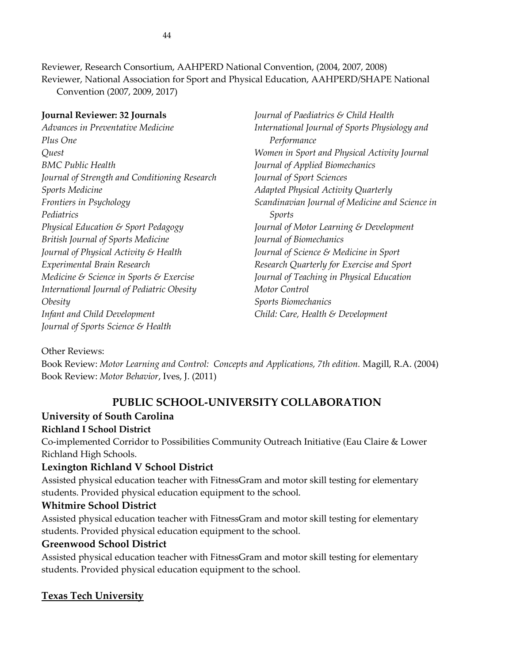Reviewer, Research Consortium, AAHPERD National Convention, (2004, 2007, 2008) Reviewer, National Association for Sport and Physical Education, AAHPERD/SHAPE National Convention (2007, 2009, 2017)

**Journal Reviewer: 32 Journals** *Advances in Preventative Medicine Plus One Quest BMC Public Health Journal of Strength and Conditioning Research Sports Medicine Frontiers in Psychology Pediatrics Physical Education & Sport Pedagogy British Journal of Sports Medicine Journal of Physical Activity & Health Experimental Brain Research Medicine & Science in Sports & Exercise International Journal of Pediatric Obesity Obesity Infant and Child Development Journal of Sports Science & Health*

*Journal of Paediatrics & Child Health International Journal of Sports Physiology and Performance Women in Sport and Physical Activity Journal Journal of Applied Biomechanics Journal of Sport Sciences Adapted Physical Activity Quarterly Scandinavian Journal of Medicine and Science in Sports Journal of Motor Learning & Development Journal of Biomechanics Journal of Science & Medicine in Sport Research Quarterly for Exercise and Sport Journal of Teaching in Physical Education Motor Control Sports Biomechanics Child: Care, Health & Development*

### Other Reviews:

Book Review: *Motor Learning and Control: Concepts and Applications, 7th edition.* Magill, R.A. (2004) Book Review: *Motor Behavior*, Ives, J. (2011)

# **PUBLIC SCHOOL-UNIVERSITY COLLABORATION**

### **University of South Carolina**

### **Richland I School District**

Co-implemented Corridor to Possibilities Community Outreach Initiative (Eau Claire & Lower Richland High Schools.

### **Lexington Richland V School District**

Assisted physical education teacher with FitnessGram and motor skill testing for elementary students. Provided physical education equipment to the school.

### **Whitmire School District**

Assisted physical education teacher with FitnessGram and motor skill testing for elementary students. Provided physical education equipment to the school.

### **Greenwood School District**

Assisted physical education teacher with FitnessGram and motor skill testing for elementary students. Provided physical education equipment to the school.

### **Texas Tech University**

44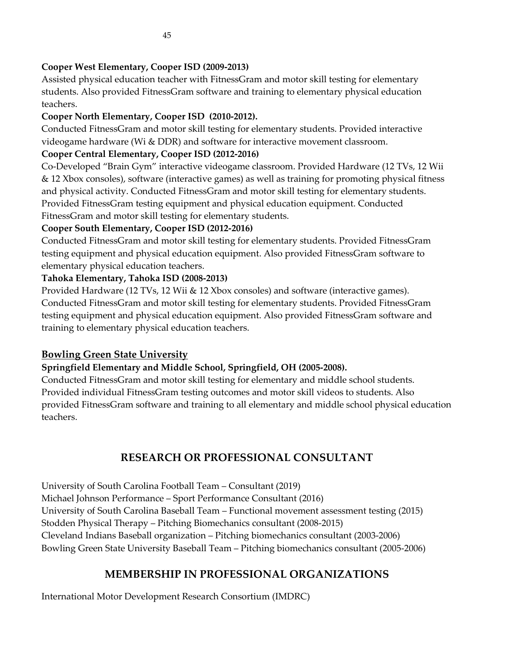Assisted physical education teacher with FitnessGram and motor skill testing for elementary students. Also provided FitnessGram software and training to elementary physical education teachers.

# **Cooper North Elementary, Cooper ISD (2010-2012).**

Conducted FitnessGram and motor skill testing for elementary students. Provided interactive videogame hardware (Wi & DDR) and software for interactive movement classroom.

# **Cooper Central Elementary, Cooper ISD (2012-2016)**

Co-Developed "Brain Gym" interactive videogame classroom. Provided Hardware (12 TVs, 12 Wii & 12 Xbox consoles), software (interactive games) as well as training for promoting physical fitness and physical activity. Conducted FitnessGram and motor skill testing for elementary students. Provided FitnessGram testing equipment and physical education equipment. Conducted FitnessGram and motor skill testing for elementary students.

# **Cooper South Elementary, Cooper ISD (2012-2016)**

Conducted FitnessGram and motor skill testing for elementary students. Provided FitnessGram testing equipment and physical education equipment. Also provided FitnessGram software to elementary physical education teachers.

# **Tahoka Elementary, Tahoka ISD (2008-2013)**

Provided Hardware (12 TVs, 12 Wii & 12 Xbox consoles) and software (interactive games). Conducted FitnessGram and motor skill testing for elementary students. Provided FitnessGram testing equipment and physical education equipment. Also provided FitnessGram software and training to elementary physical education teachers.

# **Bowling Green State University**

# **Springfield Elementary and Middle School, Springfield, OH (2005-2008).**

Conducted FitnessGram and motor skill testing for elementary and middle school students. Provided individual FitnessGram testing outcomes and motor skill videos to students. Also provided FitnessGram software and training to all elementary and middle school physical education teachers.

# **RESEARCH OR PROFESSIONAL CONSULTANT**

University of South Carolina Football Team – Consultant (2019) Michael Johnson Performance – Sport Performance Consultant (2016) University of South Carolina Baseball Team – Functional movement assessment testing (2015) Stodden Physical Therapy – Pitching Biomechanics consultant (2008-2015) Cleveland Indians Baseball organization – Pitching biomechanics consultant (2003-2006) Bowling Green State University Baseball Team – Pitching biomechanics consultant (2005-2006)

# **MEMBERSHIP IN PROFESSIONAL ORGANIZATIONS**

International Motor Development Research Consortium (IMDRC)